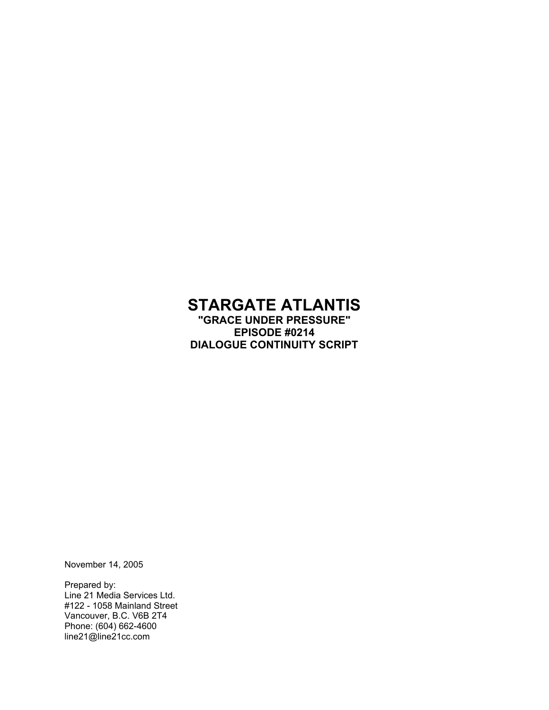# **STARGATE ATLANTIS**

**"GRACE UNDER PRESSURE" EPISODE #0214 DIALOGUE CONTINUITY SCRIPT**

November 14, 2005

Prepared by: Line 21 Media Services Ltd. #122 - 1058 Mainland Street Vancouver, B.C. V6B 2T4 Phone: (604) 662-4600 line21@line21cc.com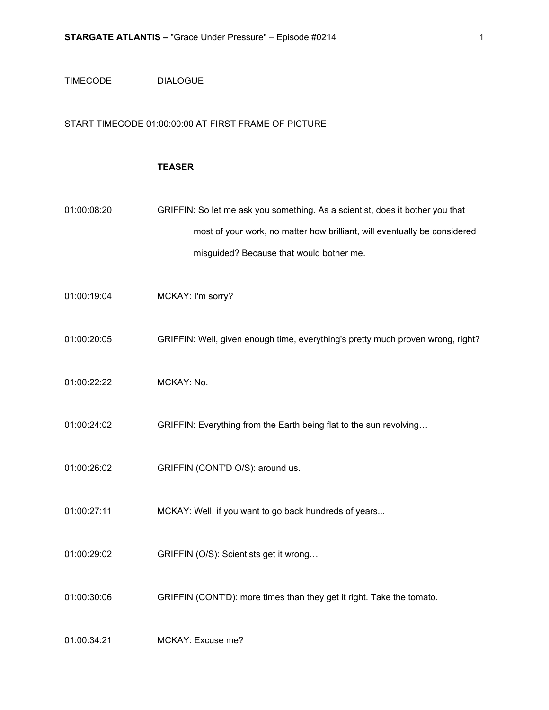#### TIMECODE DIALOGUE

#### START TIMECODE 01:00:00:00 AT FIRST FRAME OF PICTURE

#### **TEASER**

| 01:00:08:20 | GRIFFIN: So let me ask you something. As a scientist, does it bother you that |
|-------------|-------------------------------------------------------------------------------|
|             | most of your work, no matter how brilliant, will eventually be considered     |
|             | misquided? Because that would bother me.                                      |

- 01:00:19:04 MCKAY: I'm sorry?
- 01:00:20:05 GRIFFIN: Well, given enough time, everything's pretty much proven wrong, right?
- 01:00:22:22 MCKAY: No.
- 01:00:24:02 GRIFFIN: Everything from the Earth being flat to the sun revolving…
- 01:00:26:02 GRIFFIN (CONT'D O/S): around us.
- 01:00:27:11 MCKAY: Well, if you want to go back hundreds of years...
- 01:00:29:02 GRIFFIN (O/S): Scientists get it wrong…
- 01:00:30:06 GRIFFIN (CONT'D): more times than they get it right. Take the tomato.

01:00:34:21 MCKAY: Excuse me?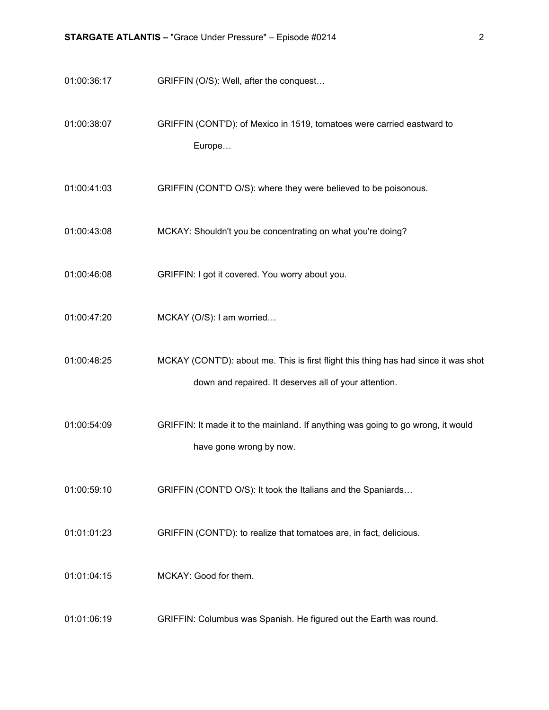01:00:36:17 GRIFFIN (O/S): Well, after the conquest…

01:00:38:07 GRIFFIN (CONT'D): of Mexico in 1519, tomatoes were carried eastward to Europe…

- 01:00:41:03 GRIFFIN (CONT'D O/S): where they were believed to be poisonous.
- 01:00:43:08 MCKAY: Shouldn't you be concentrating on what you're doing?
- 01:00:46:08 GRIFFIN: I got it covered. You worry about you.
- 01:00:47:20 MCKAY (O/S): I am worried…
- 01:00:48:25 MCKAY (CONT'D): about me. This is first flight this thing has had since it was shot down and repaired. It deserves all of your attention.
- 01:00:54:09 GRIFFIN: It made it to the mainland. If anything was going to go wrong, it would have gone wrong by now.
- 01:00:59:10 GRIFFIN (CONT'D O/S): It took the Italians and the Spaniards…
- 01:01:01:23 GRIFFIN (CONT'D): to realize that tomatoes are, in fact, delicious.
- 01:01:04:15 MCKAY: Good for them.
- 01:01:06:19 GRIFFIN: Columbus was Spanish. He figured out the Earth was round.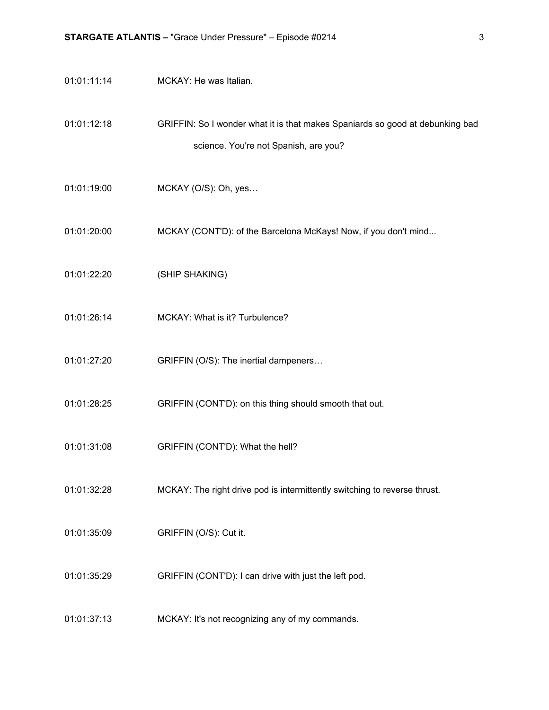- 01:01:11:14 MCKAY: He was Italian.
- 01:01:12:18 GRIFFIN: So I wonder what it is that makes Spaniards so good at debunking bad science. You're not Spanish, are you?
- 01:01:19:00 MCKAY (O/S): Oh, yes…
- 01:01:20:00 MCKAY (CONT'D): of the Barcelona McKays! Now, if you don't mind...
- 01:01:22:20 (SHIP SHAKING)
- 01:01:26:14 MCKAY: What is it? Turbulence?
- 01:01:27:20 GRIFFIN (O/S): The inertial dampeners…
- 01:01:28:25 GRIFFIN (CONT'D): on this thing should smooth that out.
- 01:01:31:08 GRIFFIN (CONT'D): What the hell?
- 01:01:32:28 MCKAY: The right drive pod is intermittently switching to reverse thrust.
- 01:01:35:09 GRIFFIN (O/S): Cut it.
- 01:01:35:29 GRIFFIN (CONT'D): I can drive with just the left pod.
- 01:01:37:13 MCKAY: It's not recognizing any of my commands.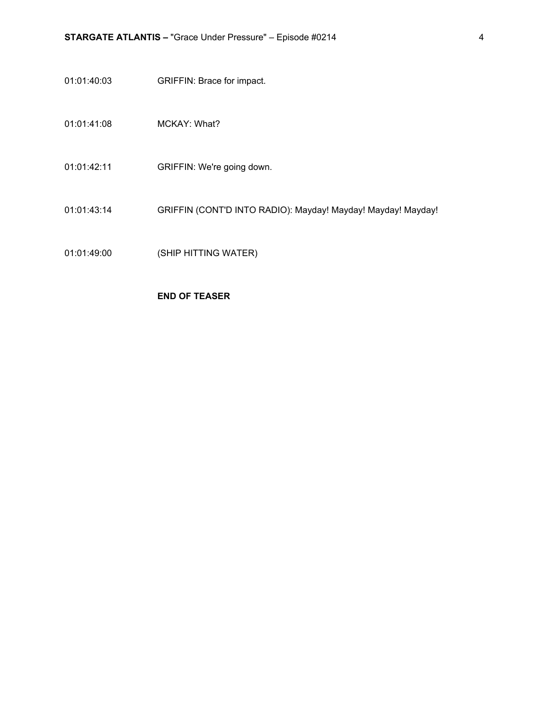- 01:01:40:03 GRIFFIN: Brace for impact.
- 01:01:41:08 MCKAY: What?
- 01:01:42:11 GRIFFIN: We're going down.
- 01:01:43:14 GRIFFIN (CONT'D INTO RADIO): Mayday! Mayday! Mayday! Mayday!
- 01:01:49:00 (SHIP HITTING WATER)

#### **END OF TEASER**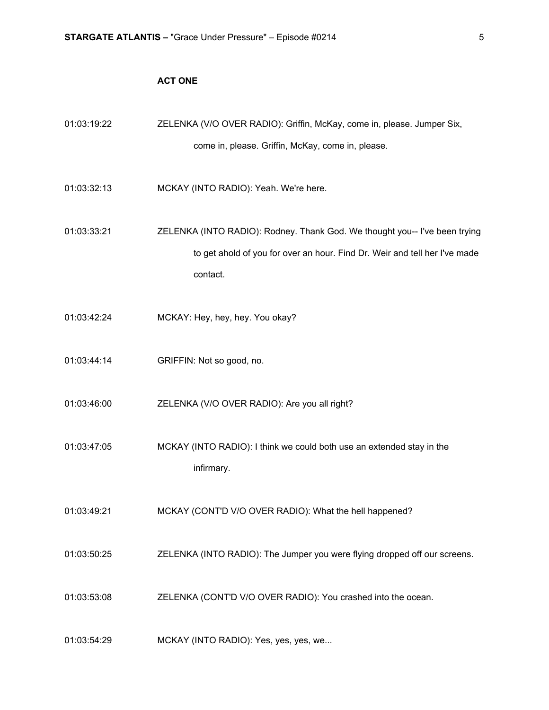### **ACT ONE**

| 01:03:19:22 | ZELENKA (V/O OVER RADIO): Griffin, McKay, come in, please. Jumper Six,                                                                                               |
|-------------|----------------------------------------------------------------------------------------------------------------------------------------------------------------------|
|             | come in, please. Griffin, McKay, come in, please.                                                                                                                    |
| 01:03:32:13 | MCKAY (INTO RADIO): Yeah. We're here.                                                                                                                                |
| 01:03:33:21 | ZELENKA (INTO RADIO): Rodney. Thank God. We thought you-- I've been trying<br>to get ahold of you for over an hour. Find Dr. Weir and tell her I've made<br>contact. |
| 01:03:42:24 | MCKAY: Hey, hey, hey. You okay?                                                                                                                                      |
| 01:03:44:14 | GRIFFIN: Not so good, no.                                                                                                                                            |
| 01:03:46:00 | ZELENKA (V/O OVER RADIO): Are you all right?                                                                                                                         |
| 01:03:47:05 | MCKAY (INTO RADIO): I think we could both use an extended stay in the<br>infirmary.                                                                                  |
| 01:03:49:21 | MCKAY (CONT'D V/O OVER RADIO): What the hell happened?                                                                                                               |
| 01:03:50:25 | ZELENKA (INTO RADIO): The Jumper you were flying dropped off our screens.                                                                                            |
| 01:03:53:08 | ZELENKA (CONT'D V/O OVER RADIO): You crashed into the ocean.                                                                                                         |
| 01:03:54:29 | MCKAY (INTO RADIO): Yes, yes, yes, we                                                                                                                                |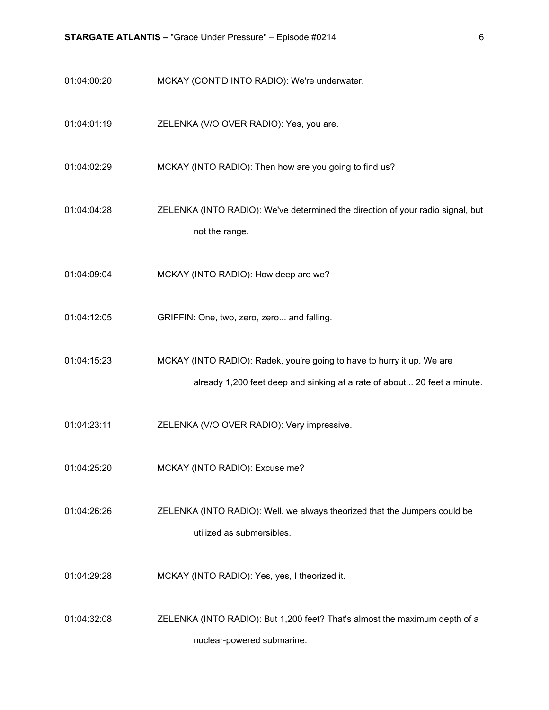- 01:04:00:20 MCKAY (CONT'D INTO RADIO): We're underwater.
- 01:04:01:19 ZELENKA (V/O OVER RADIO): Yes, you are.
- 01:04:02:29 MCKAY (INTO RADIO): Then how are you going to find us?
- 01:04:04:28 ZELENKA (INTO RADIO): We've determined the direction of your radio signal, but not the range.
- 01:04:09:04 MCKAY (INTO RADIO): How deep are we?
- 01:04:12:05 GRIFFIN: One, two, zero, zero... and falling.
- 01:04:15:23 MCKAY (INTO RADIO): Radek, you're going to have to hurry it up. We are already 1,200 feet deep and sinking at a rate of about... 20 feet a minute.
- 01:04:23:11 ZELENKA (V/O OVER RADIO): Very impressive.
- 01:04:25:20 MCKAY (INTO RADIO): Excuse me?
- 01:04:26:26 ZELENKA (INTO RADIO): Well, we always theorized that the Jumpers could be utilized as submersibles.
- 01:04:29:28 MCKAY (INTO RADIO): Yes, yes, I theorized it.
- 01:04:32:08 ZELENKA (INTO RADIO): But 1,200 feet? That's almost the maximum depth of a nuclear-powered submarine.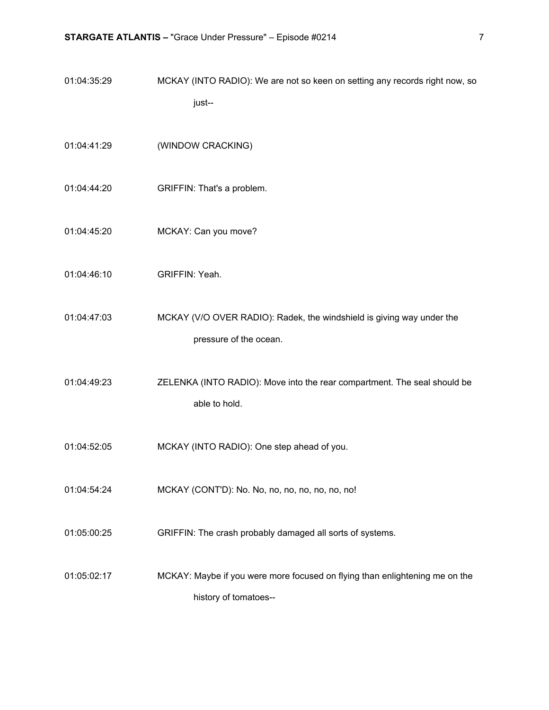| 01:04:35:29 | MCKAY (INTO RADIO): We are not so keen on setting any records right now, so                          |
|-------------|------------------------------------------------------------------------------------------------------|
|             | just--                                                                                               |
| 01:04:41:29 | (WINDOW CRACKING)                                                                                    |
| 01:04:44:20 | GRIFFIN: That's a problem.                                                                           |
| 01:04:45:20 | MCKAY: Can you move?                                                                                 |
| 01:04:46:10 | GRIFFIN: Yeah.                                                                                       |
| 01:04:47:03 | MCKAY (V/O OVER RADIO): Radek, the windshield is giving way under the<br>pressure of the ocean.      |
| 01:04:49:23 | ZELENKA (INTO RADIO): Move into the rear compartment. The seal should be<br>able to hold.            |
| 01:04:52:05 | MCKAY (INTO RADIO): One step ahead of you.                                                           |
| 01:04:54:24 | MCKAY (CONT'D): No. No, no, no, no, no, no, no!                                                      |
| 01:05:00:25 | GRIFFIN: The crash probably damaged all sorts of systems.                                            |
| 01:05:02:17 | MCKAY: Maybe if you were more focused on flying than enlightening me on the<br>history of tomatoes-- |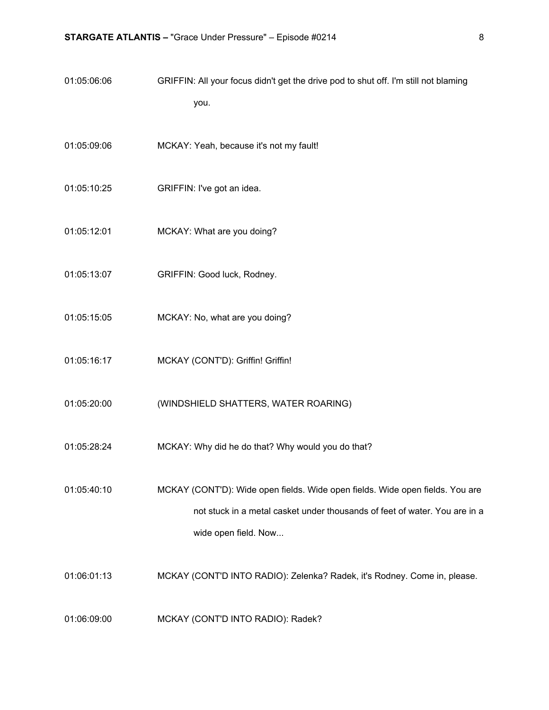- 01:05:06:06 GRIFFIN: All your focus didn't get the drive pod to shut off. I'm still not blaming you.
- 01:05:09:06 MCKAY: Yeah, because it's not my fault!
- 01:05:10:25 GRIFFIN: I've got an idea.
- 01:05:12:01 MCKAY: What are you doing?
- 01:05:13:07 GRIFFIN: Good luck, Rodney.
- 01:05:15:05 MCKAY: No, what are you doing?
- 01:05:16:17 MCKAY (CONT'D): Griffin! Griffin!
- 01:05:20:00 (WINDSHIELD SHATTERS, WATER ROARING)
- 01:05:28:24 MCKAY: Why did he do that? Why would you do that?
- 01:05:40:10 MCKAY (CONT'D): Wide open fields. Wide open fields. Wide open fields. You are not stuck in a metal casket under thousands of feet of water. You are in a wide open field. Now...
- 01:06:01:13 MCKAY (CONT'D INTO RADIO): Zelenka? Radek, it's Rodney. Come in, please.
- 01:06:09:00 MCKAY (CONT'D INTO RADIO): Radek?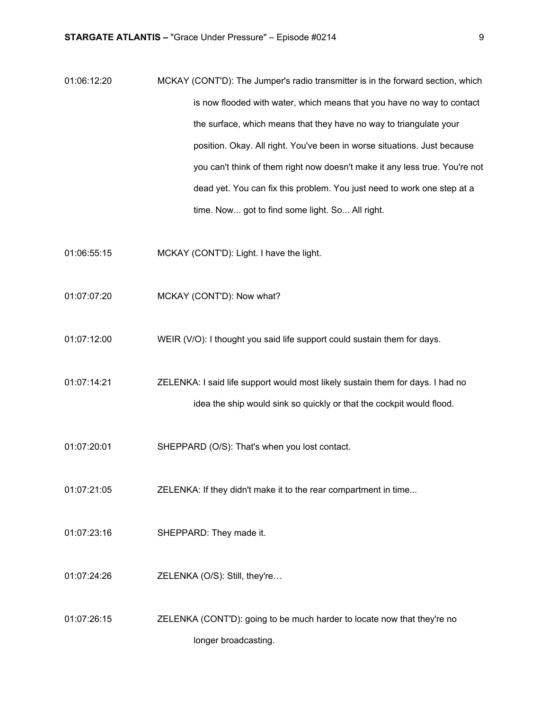- 01:06:12:20 MCKAY (CONT'D): The Jumper's radio transmitter is in the forward section, which is now flooded with water, which means that you have no way to contact the surface, which means that they have no way to triangulate your position. Okay. All right. You've been in worse situations. Just because you can't think of them right now doesn't make it any less true. You're not dead yet. You can fix this problem. You just need to work one step at a time. Now... got to find some light. So... All right.
- 01:06:55:15 MCKAY (CONT'D): Light. I have the light.
- 01:07:07:20 MCKAY (CONT'D): Now what?
- 01:07:12:00 WEIR (V/O): I thought you said life support could sustain them for days.
- 01:07:14:21 ZELENKA: I said life support would most likely sustain them for days. I had no idea the ship would sink so quickly or that the cockpit would flood.
- 01:07:20:01 SHEPPARD (O/S): That's when you lost contact.
- 01:07:21:05 ZELENKA: If they didn't make it to the rear compartment in time...
- 01:07:23:16 SHEPPARD: They made it.
- 01:07:24:26 ZELENKA (O/S): Still, they're…
- 01:07:26:15 ZELENKA (CONT'D): going to be much harder to locate now that they're no longer broadcasting.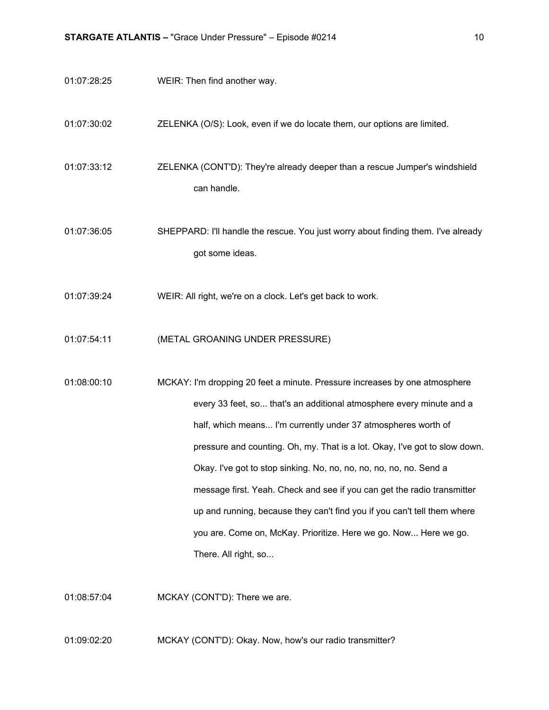01:07:28:25 WEIR: Then find another way.

01:07:30:02 ZELENKA (O/S): Look, even if we do locate them, our options are limited.

01:07:33:12 ZELENKA (CONT'D): They're already deeper than a rescue Jumper's windshield can handle.

01:07:36:05 SHEPPARD: I'll handle the rescue. You just worry about finding them. I've already got some ideas.

- 01:07:39:24 WEIR: All right, we're on a clock. Let's get back to work.
- 01:07:54:11 (METAL GROANING UNDER PRESSURE)

01:08:00:10 MCKAY: I'm dropping 20 feet a minute. Pressure increases by one atmosphere every 33 feet, so... that's an additional atmosphere every minute and a half, which means... I'm currently under 37 atmospheres worth of pressure and counting. Oh, my. That is a lot. Okay, I've got to slow down. Okay. I've got to stop sinking. No, no, no, no, no, no, no. Send a message first. Yeah. Check and see if you can get the radio transmitter up and running, because they can't find you if you can't tell them where you are. Come on, McKay. Prioritize. Here we go. Now... Here we go. There. All right, so...

01:08:57:04 MCKAY (CONT'D): There we are.

01:09:02:20 MCKAY (CONT'D): Okay. Now, how's our radio transmitter?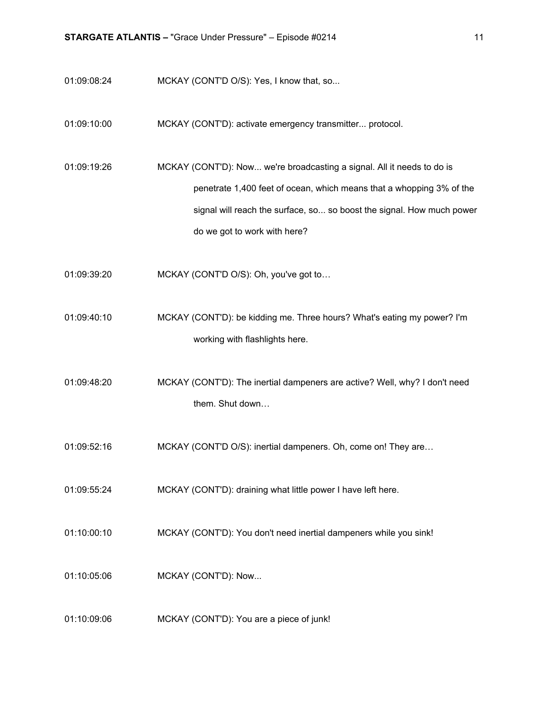- 01:09:08:24 MCKAY (CONT'D O/S): Yes, I know that, so...
- 01:09:10:00 MCKAY (CONT'D): activate emergency transmitter... protocol.
- 01:09:19:26 MCKAY (CONT'D): Now... we're broadcasting a signal. All it needs to do is penetrate 1,400 feet of ocean, which means that a whopping 3% of the signal will reach the surface, so... so boost the signal. How much power do we got to work with here?
- 01:09:39:20 MCKAY (CONT'D O/S): Oh, you've got to…
- 01:09:40:10 MCKAY (CONT'D): be kidding me. Three hours? What's eating my power? I'm working with flashlights here.
- 01:09:48:20 MCKAY (CONT'D): The inertial dampeners are active? Well, why? I don't need them. Shut down…
- 01:09:52:16 MCKAY (CONT'D O/S): inertial dampeners. Oh, come on! They are…
- 01:09:55:24 MCKAY (CONT'D): draining what little power I have left here.
- 01:10:00:10 MCKAY (CONT'D): You don't need inertial dampeners while you sink!
- 01:10:05:06 MCKAY (CONT'D): Now...
- 01:10:09:06 MCKAY (CONT'D): You are a piece of junk!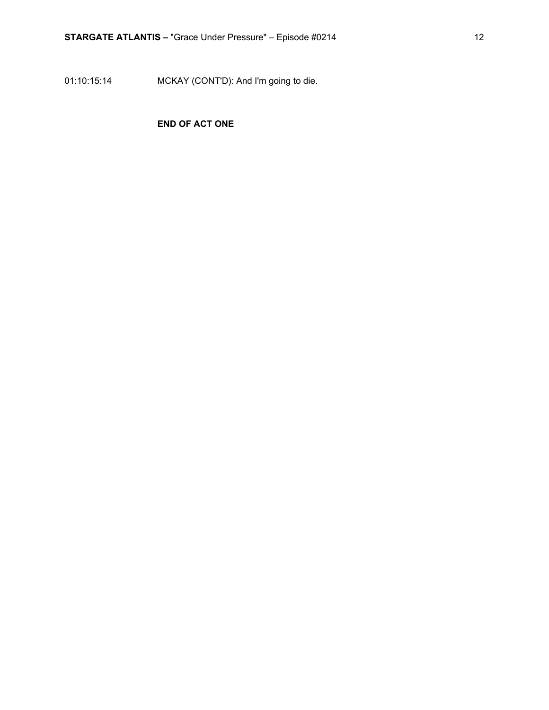01:10:15:14 MCKAY (CONT'D): And I'm going to die.

### **END OF ACT ONE**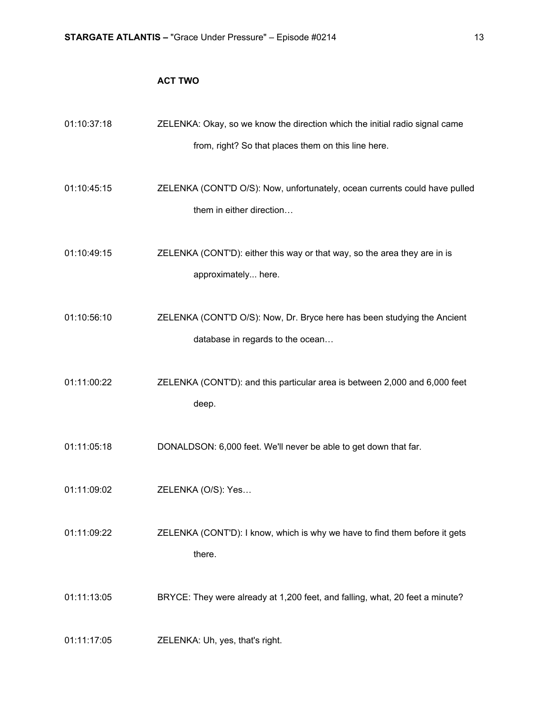### **ACT TWO**

| 01:10:37:18 | ZELENKA: Okay, so we know the direction which the initial radio signal came                                 |
|-------------|-------------------------------------------------------------------------------------------------------------|
|             | from, right? So that places them on this line here.                                                         |
| 01:10:45:15 | ZELENKA (CONT'D O/S): Now, unfortunately, ocean currents could have pulled<br>them in either direction      |
| 01:10:49:15 | ZELENKA (CONT'D): either this way or that way, so the area they are in is<br>approximately here.            |
| 01:10:56:10 | ZELENKA (CONT'D O/S): Now, Dr. Bryce here has been studying the Ancient<br>database in regards to the ocean |
| 01:11:00:22 | ZELENKA (CONT'D): and this particular area is between 2,000 and 6,000 feet<br>deep.                         |
| 01:11:05:18 | DONALDSON: 6,000 feet. We'll never be able to get down that far.                                            |
| 01:11:09:02 | ZELENKA (O/S): Yes                                                                                          |
| 01:11:09:22 | ZELENKA (CONT'D): I know, which is why we have to find them before it gets<br>there.                        |
| 01:11:13:05 | BRYCE: They were already at 1,200 feet, and falling, what, 20 feet a minute?                                |
| 01:11:17:05 | ZELENKA: Uh, yes, that's right.                                                                             |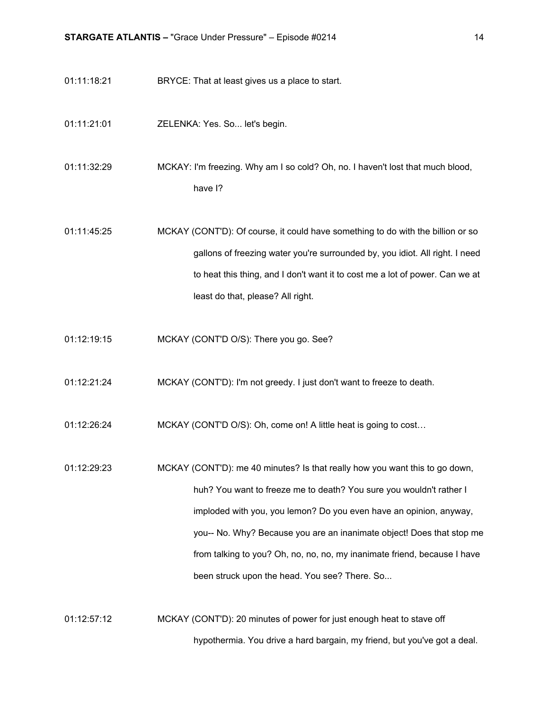- 01:11:18:21 BRYCE: That at least gives us a place to start.
- 01:11:21:01 ZELENKA: Yes. So... let's begin.

01:11:32:29 MCKAY: I'm freezing. Why am I so cold? Oh, no. I haven't lost that much blood, have I?

01:11:45:25 MCKAY (CONT'D): Of course, it could have something to do with the billion or so gallons of freezing water you're surrounded by, you idiot. All right. I need to heat this thing, and I don't want it to cost me a lot of power. Can we at least do that, please? All right.

- 01:12:19:15 MCKAY (CONT'D O/S): There you go. See?
- 01:12:21:24 MCKAY (CONT'D): I'm not greedy. I just don't want to freeze to death.
- 01:12:26:24 MCKAY (CONT'D O/S): Oh, come on! A little heat is going to cost…

01:12:29:23 MCKAY (CONT'D): me 40 minutes? Is that really how you want this to go down, huh? You want to freeze me to death? You sure you wouldn't rather I imploded with you, you lemon? Do you even have an opinion, anyway, you-- No. Why? Because you are an inanimate object! Does that stop me from talking to you? Oh, no, no, no, my inanimate friend, because I have been struck upon the head. You see? There. So...

01:12:57:12 MCKAY (CONT'D): 20 minutes of power for just enough heat to stave off hypothermia. You drive a hard bargain, my friend, but you've got a deal.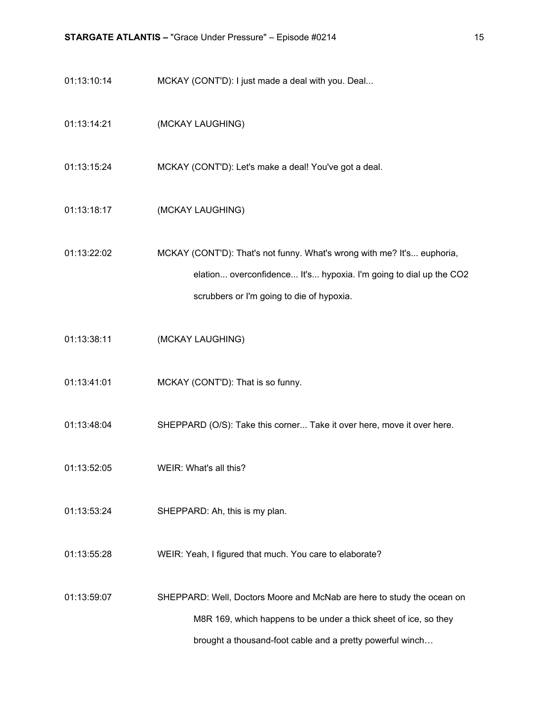- 01:13:10:14 MCKAY (CONT'D): I just made a deal with you. Deal...
- 01:13:14:21 (MCKAY LAUGHING)
- 01:13:15:24 MCKAY (CONT'D): Let's make a deal! You've got a deal.
- 01:13:18:17 (MCKAY LAUGHING)
- 01:13:22:02 MCKAY (CONT'D): That's not funny. What's wrong with me? It's... euphoria, elation... overconfidence... It's... hypoxia. I'm going to dial up the CO2 scrubbers or I'm going to die of hypoxia.
- 01:13:38:11 (MCKAY LAUGHING)
- 01:13:41:01 MCKAY (CONT'D): That is so funny.
- 01:13:48:04 SHEPPARD (O/S): Take this corner... Take it over here, move it over here.
- 01:13:52:05 WEIR: What's all this?
- 01:13:53:24 SHEPPARD: Ah, this is my plan.
- 01:13:55:28 WEIR: Yeah, I figured that much. You care to elaborate?
- 01:13:59:07 SHEPPARD: Well, Doctors Moore and McNab are here to study the ocean on M8R 169, which happens to be under a thick sheet of ice, so they brought a thousand-foot cable and a pretty powerful winch…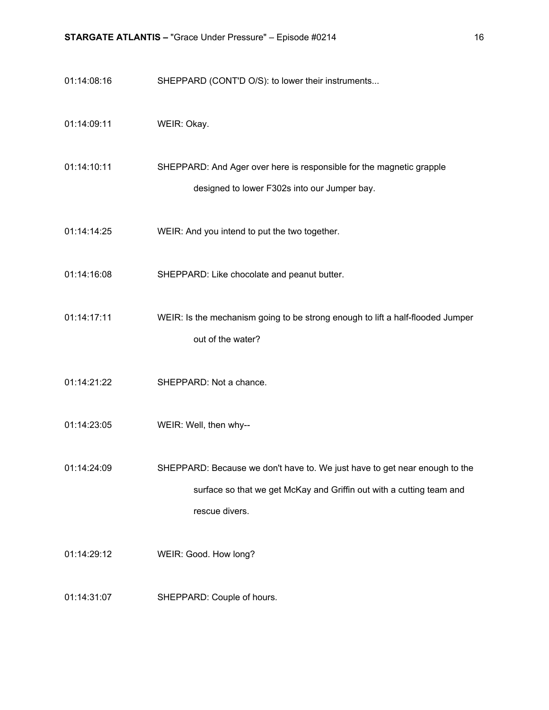- 01:14:08:16 SHEPPARD (CONT'D O/S): to lower their instruments...
- 01:14:09:11 WEIR: Okay.
- 01:14:10:11 SHEPPARD: And Ager over here is responsible for the magnetic grapple designed to lower F302s into our Jumper bay.
- 01:14:14:25 WEIR: And you intend to put the two together.
- 01:14:16:08 SHEPPARD: Like chocolate and peanut butter.
- 01:14:17:11 WEIR: Is the mechanism going to be strong enough to lift a half-flooded Jumper out of the water?
- 01:14:21:22 SHEPPARD: Not a chance.
- 01:14:23:05 WEIR: Well, then why--
- 01:14:24:09 SHEPPARD: Because we don't have to. We just have to get near enough to the surface so that we get McKay and Griffin out with a cutting team and rescue divers.
- 01:14:29:12 WEIR: Good. How long?
- 01:14:31:07 SHEPPARD: Couple of hours.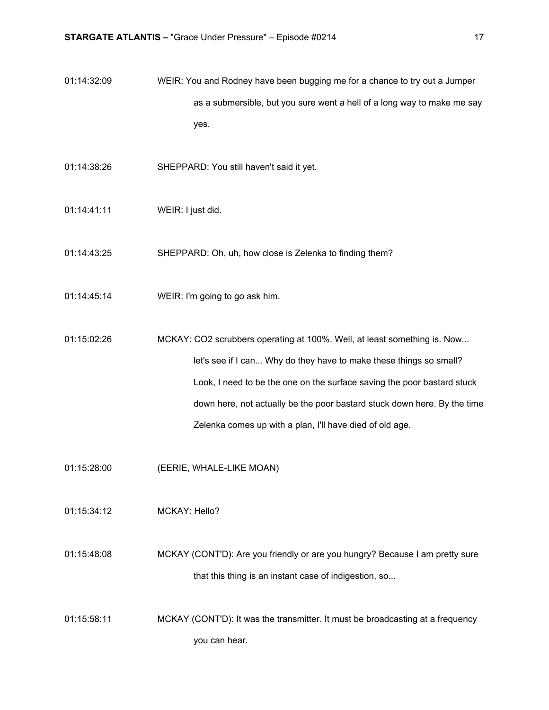- 01:14:32:09 WEIR: You and Rodney have been bugging me for a chance to try out a Jumper as a submersible, but you sure went a hell of a long way to make me say yes.
- 01:14:38:26 SHEPPARD: You still haven't said it yet.
- 01:14:41:11 WEIR: I just did.
- 01:14:43:25 SHEPPARD: Oh, uh, how close is Zelenka to finding them?
- 01:14:45:14 WEIR: I'm going to go ask him.
- 01:15:02:26 MCKAY: CO2 scrubbers operating at 100%. Well, at least something is. Now... let's see if I can... Why do they have to make these things so small? Look, I need to be the one on the surface saving the poor bastard stuck down here, not actually be the poor bastard stuck down here. By the time Zelenka comes up with a plan, I'll have died of old age.
- 01:15:28:00 (EERIE, WHALE-LIKE MOAN)
- 01:15:34:12 MCKAY: Hello?
- 01:15:48:08 MCKAY (CONT'D): Are you friendly or are you hungry? Because I am pretty sure that this thing is an instant case of indigestion, so...
- 01:15:58:11 MCKAY (CONT'D): It was the transmitter. It must be broadcasting at a frequency you can hear.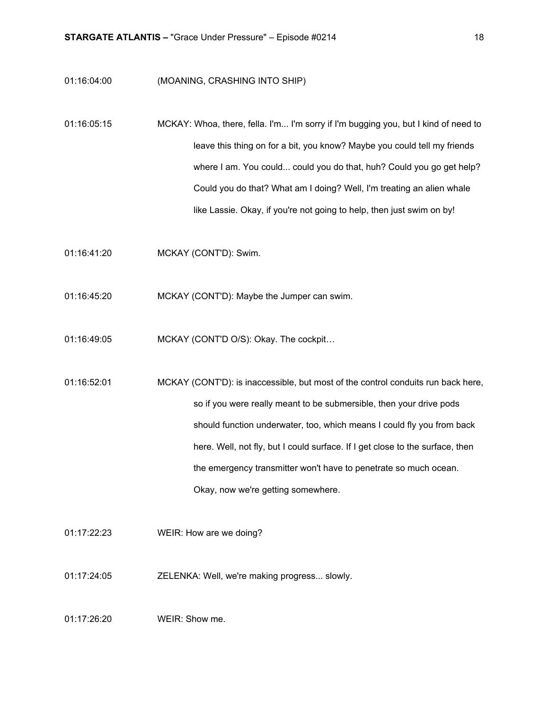#### 01:16:04:00 (MOANING, CRASHING INTO SHIP)

- 01:16:05:15 MCKAY: Whoa, there, fella. I'm... I'm sorry if I'm bugging you, but I kind of need to leave this thing on for a bit, you know? Maybe you could tell my friends where I am. You could... could you do that, huh? Could you go get help? Could you do that? What am I doing? Well, I'm treating an alien whale like Lassie. Okay, if you're not going to help, then just swim on by!
- 01:16:41:20 MCKAY (CONT'D): Swim.
- 01:16:45:20 MCKAY (CONT'D): Maybe the Jumper can swim.
- 01:16:49:05 MCKAY (CONT'D O/S): Okay. The cockpit…
- 01:16:52:01 MCKAY (CONT'D): is inaccessible, but most of the control conduits run back here, so if you were really meant to be submersible, then your drive pods should function underwater, too, which means I could fly you from back here. Well, not fly, but I could surface. If I get close to the surface, then the emergency transmitter won't have to penetrate so much ocean. Okay, now we're getting somewhere.
- 01:17:22:23 WEIR: How are we doing?
- 01:17:24:05 ZELENKA: Well, we're making progress... slowly.
- 01:17:26:20 WEIR: Show me.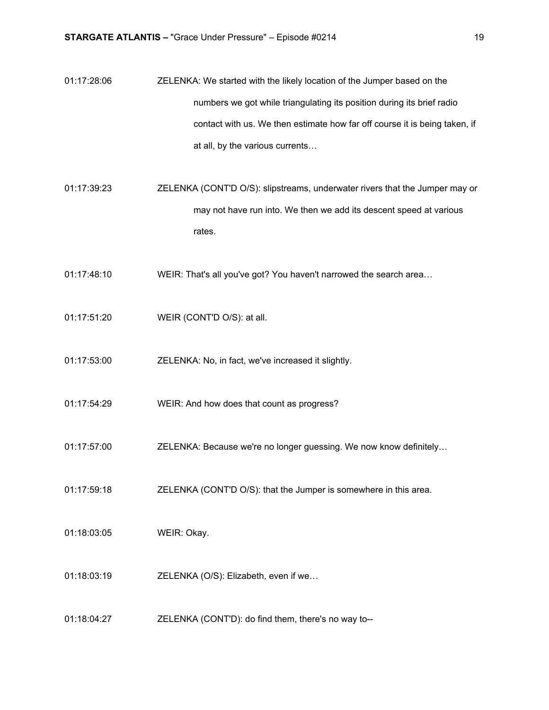- 01:17:28:06 ZELENKA: We started with the likely location of the Jumper based on the numbers we got while triangulating its position during its brief radio contact with us. We then estimate how far off course it is being taken, if at all, by the various currents…
- 01:17:39:23 ZELENKA (CONT'D O/S): slipstreams, underwater rivers that the Jumper may or may not have run into. We then we add its descent speed at various rates.
- 01:17:48:10 WEIR: That's all you've got? You haven't narrowed the search area…
- 01:17:51:20 WEIR (CONT'D O/S): at all.
- 01:17:53:00 ZELENKA: No, in fact, we've increased it slightly.
- 01:17:54:29 WEIR: And how does that count as progress?
- 01:17:57:00 ZELENKA: Because we're no longer guessing. We now know definitely…
- 01:17:59:18 ZELENKA (CONT'D O/S): that the Jumper is somewhere in this area.
- 01:18:03:05 WEIR: Okay.
- 01:18:03:19 **ZELENKA** (O/S): Elizabeth, even if we...
- 01:18:04:27 ZELENKA (CONT'D): do find them, there's no way to--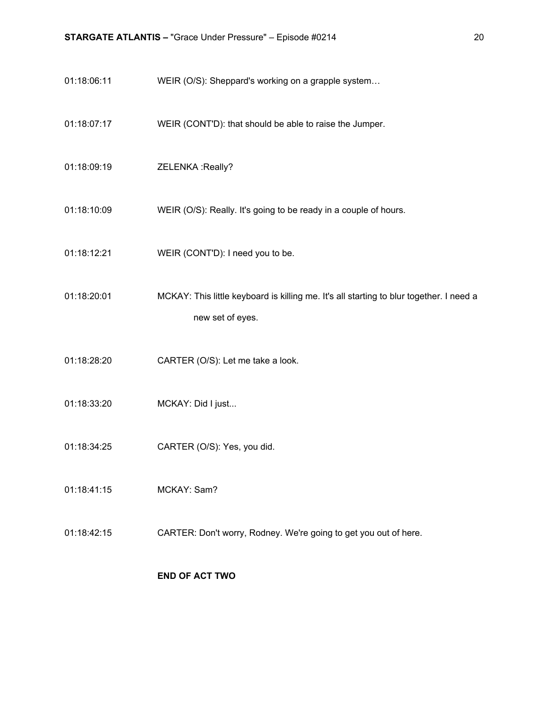- 01:18:06:11 WEIR (O/S): Sheppard's working on a grapple system...
- 01:18:07:17 WEIR (CONT'D): that should be able to raise the Jumper.
- 01:18:09:19 ZELENKA :Really?
- 01:18:10:09 WEIR (O/S): Really. It's going to be ready in a couple of hours.
- 01:18:12:21 WEIR (CONT'D): I need you to be.
- 01:18:20:01 MCKAY: This little keyboard is killing me. It's all starting to blur together. I need a new set of eyes.
- 01:18:28:20 CARTER (O/S): Let me take a look.
- 01:18:33:20 MCKAY: Did I just...
- 01:18:34:25 CARTER (O/S): Yes, you did.
- 01:18:41:15 MCKAY: Sam?
- 01:18:42:15 CARTER: Don't worry, Rodney. We're going to get you out of here.

#### **END OF ACT TWO**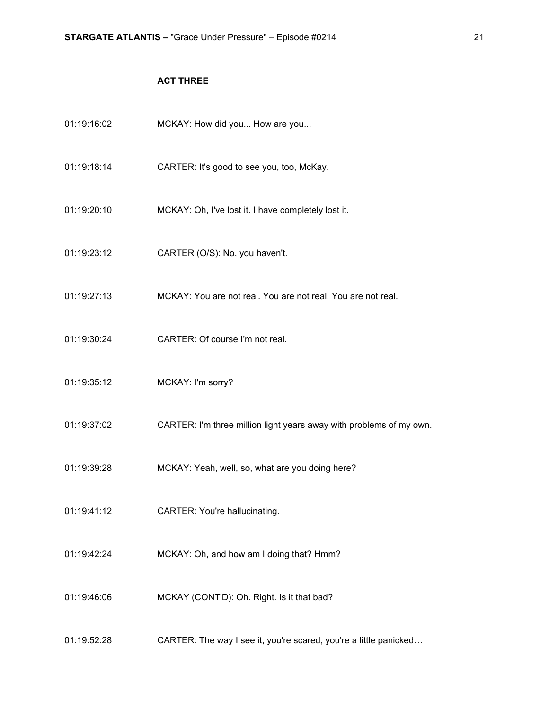### **ACT THREE**

| 01:19:16:02 | MCKAY: How did you How are you                                      |
|-------------|---------------------------------------------------------------------|
| 01:19:18:14 | CARTER: It's good to see you, too, McKay.                           |
| 01:19:20:10 | MCKAY: Oh, I've lost it. I have completely lost it.                 |
| 01:19:23:12 | CARTER (O/S): No, you haven't.                                      |
| 01:19:27:13 | MCKAY: You are not real. You are not real. You are not real.        |
| 01:19:30:24 | CARTER: Of course I'm not real.                                     |
| 01:19:35:12 | MCKAY: I'm sorry?                                                   |
| 01:19:37:02 | CARTER: I'm three million light years away with problems of my own. |
| 01:19:39:28 | MCKAY: Yeah, well, so, what are you doing here?                     |
| 01:19:41:12 | <b>CARTER: You're hallucinating.</b>                                |
| 01:19:42:24 | MCKAY: Oh, and how am I doing that? Hmm?                            |
| 01:19:46:06 | MCKAY (CONT'D): Oh. Right. Is it that bad?                          |
| 01:19:52:28 | CARTER: The way I see it, you're scared, you're a little panicked   |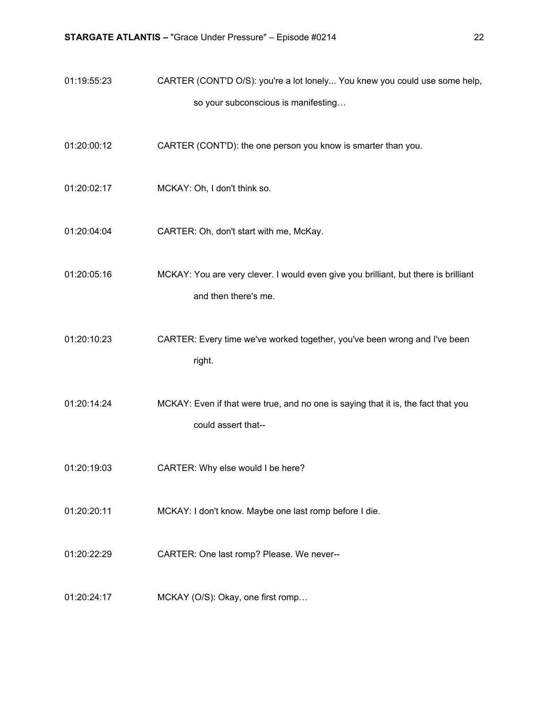- 01:19:55:23 CARTER (CONT'D O/S): you're a lot lonely... You knew you could use some help, so your subconscious is manifesting…
- 01:20:00:12 CARTER (CONT'D): the one person you know is smarter than you.
- 01:20:02:17 MCKAY: Oh, I don't think so.
- 01:20:04:04 CARTER: Oh, don't start with me, McKay.

01:20:05:16 MCKAY: You are very clever. I would even give you brilliant, but there is brilliant and then there's me.

- 01:20:10:23 CARTER: Every time we've worked together, you've been wrong and I've been right.
- 01:20:14:24 MCKAY: Even if that were true, and no one is saying that it is, the fact that you could assert that--
- 01:20:19:03 CARTER: Why else would I be here?
- 01:20:20:11 MCKAY: I don't know. Maybe one last romp before I die.
- 01:20:22:29 CARTER: One last romp? Please. We never--
- 01:20:24:17 MCKAY (O/S): Okay, one first romp…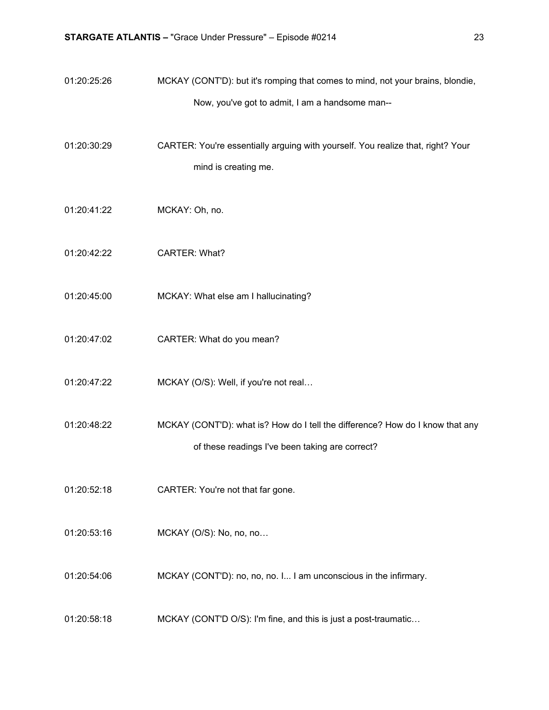- 01:20:25:26 MCKAY (CONT'D): but it's romping that comes to mind, not your brains, blondie, Now, you've got to admit, I am a handsome man--
- 01:20:30:29 CARTER: You're essentially arguing with yourself. You realize that, right? Your mind is creating me.
- 01:20:41:22 MCKAY: Oh, no.
- 01:20:42:22 CARTER: What?
- 01:20:45:00 MCKAY: What else am I hallucinating?
- 01:20:47:02 CARTER: What do you mean?
- 01:20:47:22 MCKAY (O/S): Well, if you're not real...
- 01:20:48:22 MCKAY (CONT'D): what is? How do I tell the difference? How do I know that any of these readings I've been taking are correct?
- 01:20:52:18 CARTER: You're not that far gone.
- 01:20:53:16 MCKAY (O/S): No, no, no...
- 01:20:54:06 MCKAY (CONT'D): no, no, no. I... I am unconscious in the infirmary.
- 01:20:58:18 MCKAY (CONT'D O/S): I'm fine, and this is just a post-traumatic…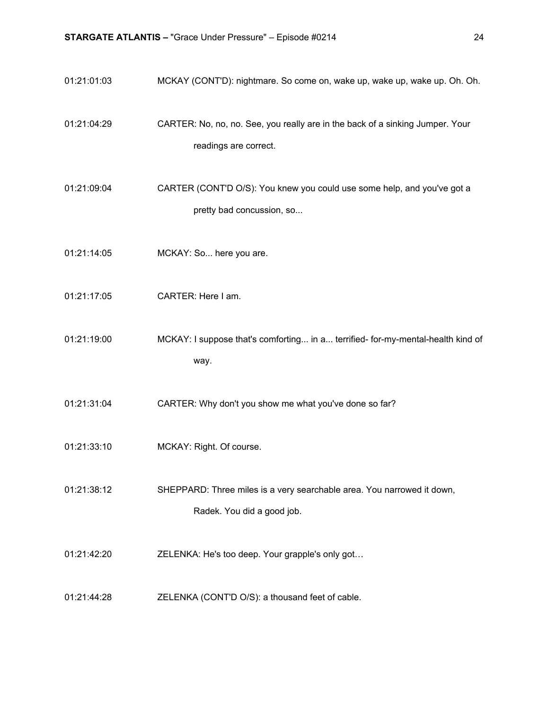01:21:01:03 MCKAY (CONT'D): nightmare. So come on, wake up, wake up, wake up. Oh. Oh. 01:21:04:29 CARTER: No, no, no. See, you really are in the back of a sinking Jumper. Your readings are correct. 01:21:09:04 CARTER (CONT'D O/S): You knew you could use some help, and you've got a pretty bad concussion, so... 01:21:14:05 MCKAY: So... here you are. 01:21:17:05 CARTER: Here I am. 01:21:19:00 MCKAY: I suppose that's comforting... in a... terrified- for-my-mental-health kind of way. 01:21:31:04 CARTER: Why don't you show me what you've done so far? 01:21:33:10 MCKAY: Right. Of course. 01:21:38:12 SHEPPARD: Three miles is a very searchable area. You narrowed it down, Radek. You did a good job. 01:21:42:20 ZELENKA: He's too deep. Your grapple's only got… 01:21:44:28 ZELENKA (CONT'D O/S): a thousand feet of cable.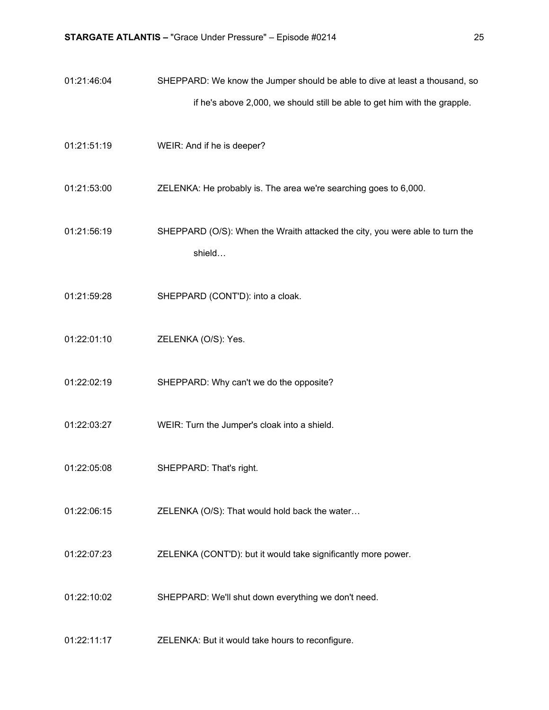- 01:21:46:04 SHEPPARD: We know the Jumper should be able to dive at least a thousand, so if he's above 2,000, we should still be able to get him with the grapple.
- 01:21:51:19 WEIR: And if he is deeper?
- 01:21:53:00 ZELENKA: He probably is. The area we're searching goes to 6,000.
- 01:21:56:19 SHEPPARD (O/S): When the Wraith attacked the city, you were able to turn the shield…
- 01:21:59:28 SHEPPARD (CONT'D): into a cloak.
- 01:22:01:10 ZELENKA (O/S): Yes.
- 01:22:02:19 SHEPPARD: Why can't we do the opposite?
- 01:22:03:27 WEIR: Turn the Jumper's cloak into a shield.
- 01:22:05:08 SHEPPARD: That's right.
- 01:22:06:15 ZELENKA (O/S): That would hold back the water…
- 01:22:07:23 ZELENKA (CONT'D): but it would take significantly more power.
- 01:22:10:02 SHEPPARD: We'll shut down everything we don't need.
- 01:22:11:17 ZELENKA: But it would take hours to reconfigure.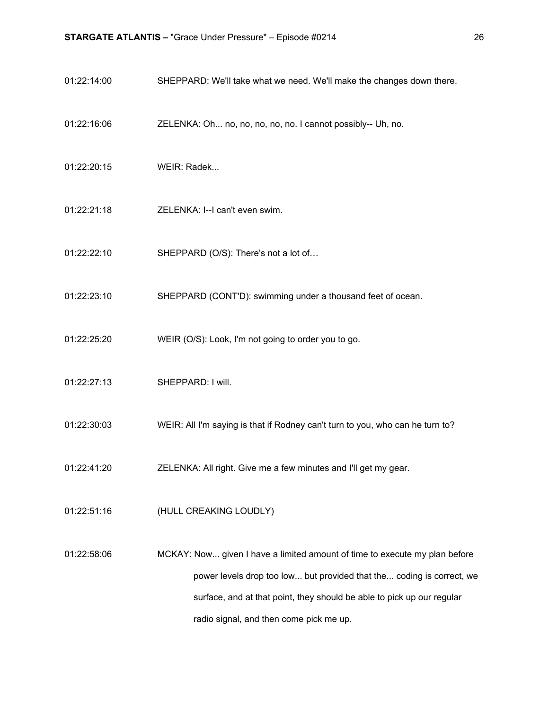- 01:22:14:00 SHEPPARD: We'll take what we need. We'll make the changes down there.
- 01:22:16:06 ZELENKA: Oh... no, no, no, no, no. I cannot possibly-- Uh, no.
- 01:22:20:15 WEIR: Radek...
- 01:22:21:18 ZELENKA: I--I can't even swim.
- 01:22:22:10 SHEPPARD (O/S): There's not a lot of…
- 01:22:23:10 SHEPPARD (CONT'D): swimming under a thousand feet of ocean.
- 01:22:25:20 WEIR (O/S): Look, I'm not going to order you to go.
- 01:22:27:13 SHEPPARD: I will.
- 01:22:30:03 WEIR: All I'm saying is that if Rodney can't turn to you, who can he turn to?
- 01:22:41:20 ZELENKA: All right. Give me a few minutes and I'll get my gear.
- 01:22:51:16 (HULL CREAKING LOUDLY)
- 01:22:58:06 MCKAY: Now... given I have a limited amount of time to execute my plan before power levels drop too low... but provided that the... coding is correct, we surface, and at that point, they should be able to pick up our regular radio signal, and then come pick me up.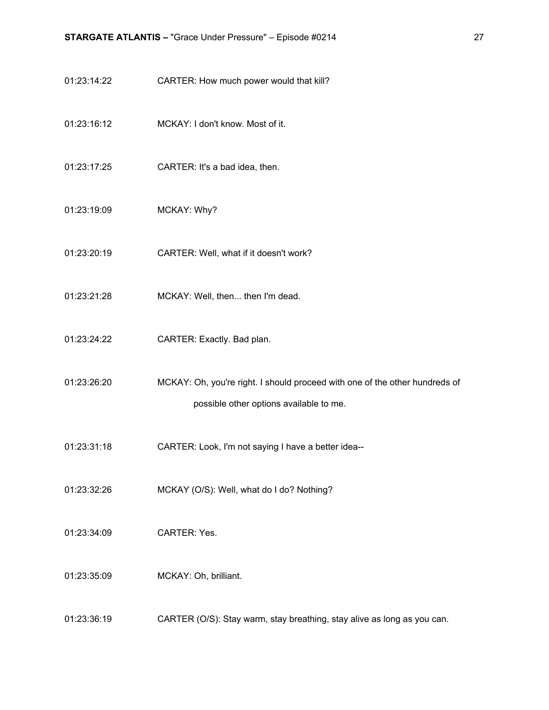- 01:23:14:22 CARTER: How much power would that kill?
- 01:23:16:12 MCKAY: I don't know. Most of it.
- 01:23:17:25 CARTER: It's a bad idea, then.
- 01:23:19:09 MCKAY: Why?
- 01:23:20:19 CARTER: Well, what if it doesn't work?
- 01:23:21:28 MCKAY: Well, then... then I'm dead.
- 01:23:24:22 CARTER: Exactly. Bad plan.
- 01:23:26:20 MCKAY: Oh, you're right. I should proceed with one of the other hundreds of possible other options available to me.
- 01:23:31:18 CARTER: Look, I'm not saying I have a better idea--
- 01:23:32:26 MCKAY (O/S): Well, what do I do? Nothing?
- 01:23:34:09 CARTER: Yes.
- 01:23:35:09 MCKAY: Oh, brilliant.
- 01:23:36:19 CARTER (O/S): Stay warm, stay breathing, stay alive as long as you can.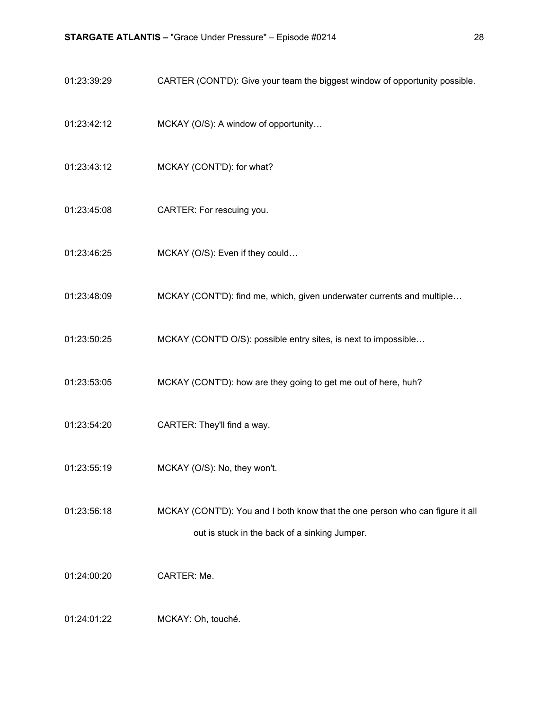- 01:23:39:29 CARTER (CONT'D): Give your team the biggest window of opportunity possible.
- 01:23:42:12 MCKAY (O/S): A window of opportunity…
- 01:23:43:12 MCKAY (CONT'D): for what?
- 01:23:45:08 CARTER: For rescuing you.
- 01:23:46:25 MCKAY (O/S): Even if they could…
- 01:23:48:09 MCKAY (CONT'D): find me, which, given underwater currents and multiple...
- 01:23:50:25 MCKAY (CONT'D O/S): possible entry sites, is next to impossible…
- 01:23:53:05 MCKAY (CONT'D): how are they going to get me out of here, huh?
- 01:23:54:20 CARTER: They'll find a way.
- 01:23:55:19 MCKAY (O/S): No, they won't.
- 01:23:56:18 MCKAY (CONT'D): You and I both know that the one person who can figure it all out is stuck in the back of a sinking Jumper.
- 01:24:00:20 CARTER: Me.
- 01:24:01:22 MCKAY: Oh, touché.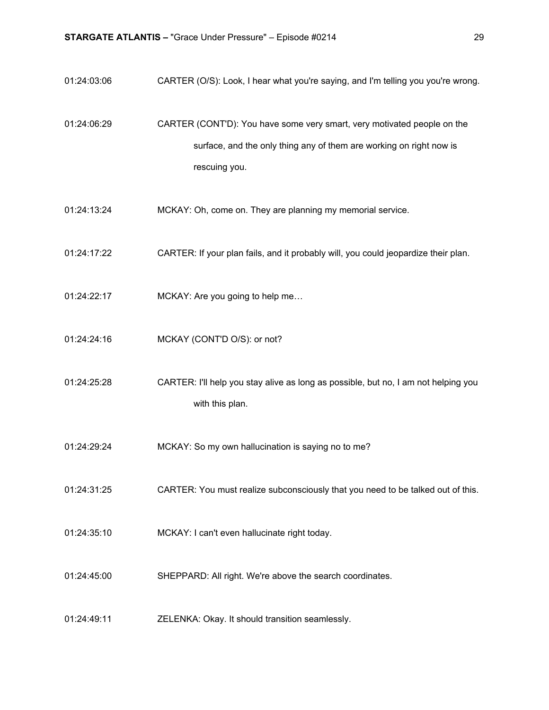01:24:03:06 CARTER (O/S): Look, I hear what you're saying, and I'm telling you you're wrong. 01:24:06:29 CARTER (CONT'D): You have some very smart, very motivated people on the surface, and the only thing any of them are working on right now is rescuing you. 01:24:13:24 MCKAY: Oh, come on. They are planning my memorial service. 01:24:17:22 CARTER: If your plan fails, and it probably will, you could jeopardize their plan. 01:24:22:17 MCKAY: Are you going to help me… 01:24:24:16 MCKAY (CONT'D O/S): or not? 01:24:25:28 CARTER: I'll help you stay alive as long as possible, but no, I am not helping you with this plan. 01:24:29:24 MCKAY: So my own hallucination is saying no to me? 01:24:31:25 CARTER: You must realize subconsciously that you need to be talked out of this. 01:24:35:10 MCKAY: I can't even hallucinate right today. 01:24:45:00 SHEPPARD: All right. We're above the search coordinates. 01:24:49:11 ZELENKA: Okay. It should transition seamlessly.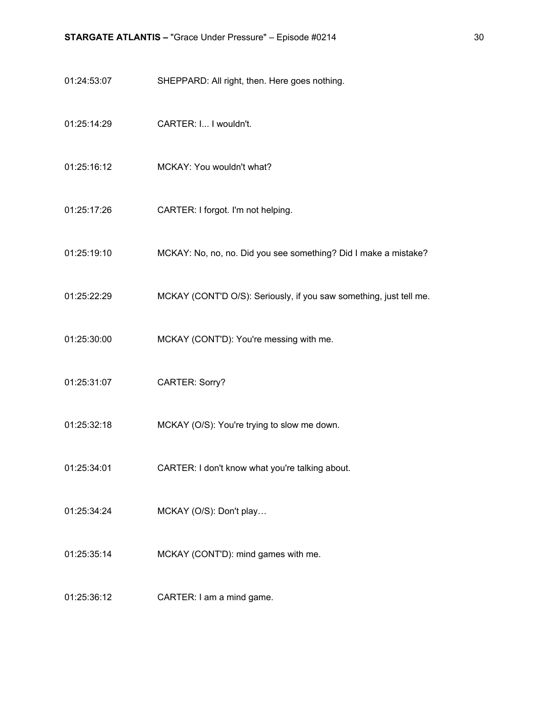- 01:24:53:07 SHEPPARD: All right, then. Here goes nothing.
- 01:25:14:29 CARTER: I... I wouldn't.
- 01:25:16:12 MCKAY: You wouldn't what?
- 01:25:17:26 CARTER: I forgot. I'm not helping.
- 01:25:19:10 MCKAY: No, no, no. Did you see something? Did I make a mistake?
- 01:25:22:29 MCKAY (CONT'D O/S): Seriously, if you saw something, just tell me.
- 01:25:30:00 MCKAY (CONT'D): You're messing with me.
- 01:25:31:07 CARTER: Sorry?
- 01:25:32:18 MCKAY (O/S): You're trying to slow me down.
- 01:25:34:01 CARTER: I don't know what you're talking about.
- 01:25:34:24 MCKAY (O/S): Don't play…
- 01:25:35:14 MCKAY (CONT'D): mind games with me.
- 01:25:36:12 CARTER: I am a mind game.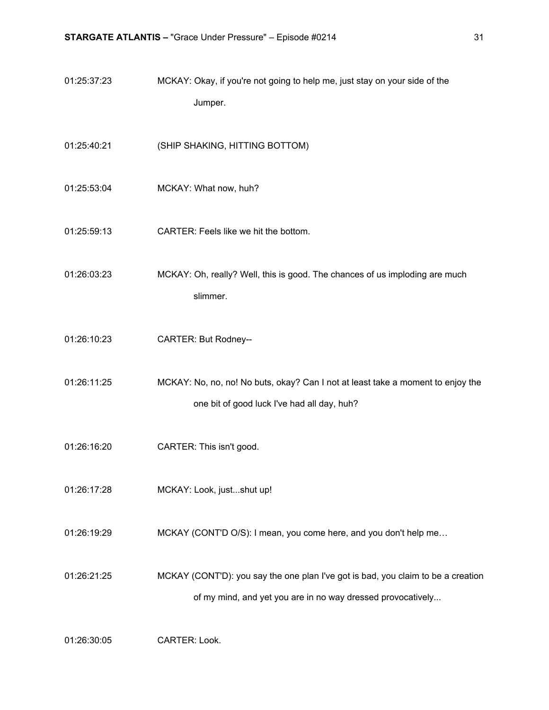| 01:25:37:23 | MCKAY: Okay, if you're not going to help me, just stay on your side of the<br>Jumper.                                                           |
|-------------|-------------------------------------------------------------------------------------------------------------------------------------------------|
| 01:25:40:21 | (SHIP SHAKING, HITTING BOTTOM)                                                                                                                  |
| 01:25:53:04 | MCKAY: What now, huh?                                                                                                                           |
| 01:25:59:13 | CARTER: Feels like we hit the bottom.                                                                                                           |
| 01:26:03:23 | MCKAY: Oh, really? Well, this is good. The chances of us imploding are much<br>slimmer.                                                         |
| 01:26:10:23 | <b>CARTER: But Rodney--</b>                                                                                                                     |
| 01:26:11:25 | MCKAY: No, no, no! No buts, okay? Can I not at least take a moment to enjoy the<br>one bit of good luck I've had all day, huh?                  |
| 01:26:16:20 | CARTER: This isn't good.                                                                                                                        |
| 01:26:17:28 | MCKAY: Look, justshut up!                                                                                                                       |
| 01:26:19:29 | MCKAY (CONT'D O/S): I mean, you come here, and you don't help me                                                                                |
| 01:26:21:25 | MCKAY (CONT'D): you say the one plan I've got is bad, you claim to be a creation<br>of my mind, and yet you are in no way dressed provocatively |

01:26:30:05 CARTER: Look.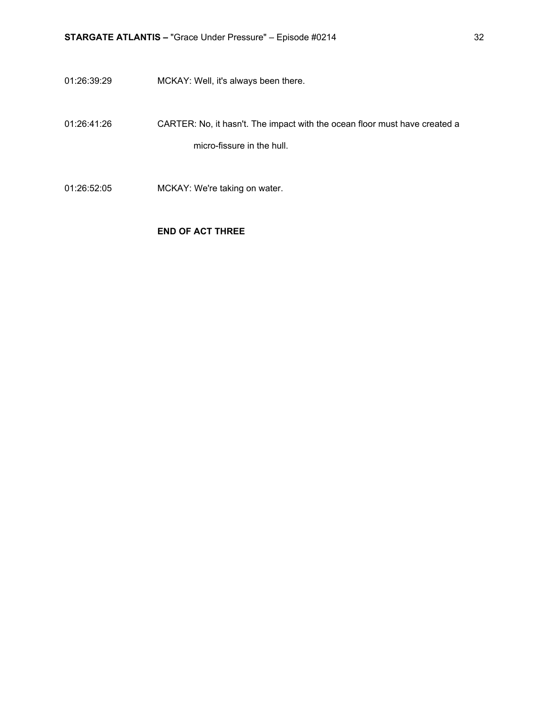- 01:26:39:29 MCKAY: Well, it's always been there.
- 01:26:41:26 CARTER: No, it hasn't. The impact with the ocean floor must have created a micro-fissure in the hull.
- 01:26:52:05 MCKAY: We're taking on water.

#### **END OF ACT THREE**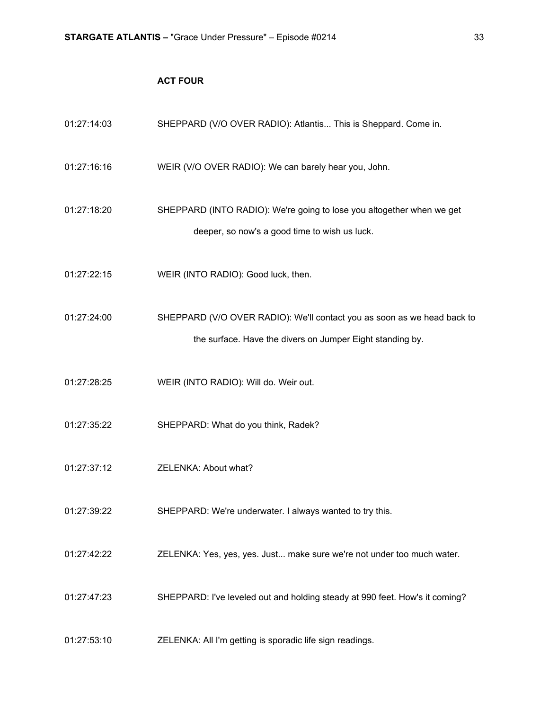### **ACT FOUR**

| 01:27:14:03 | SHEPPARD (V/O OVER RADIO): Atlantis This is Sheppard. Come in.                                                                       |
|-------------|--------------------------------------------------------------------------------------------------------------------------------------|
| 01:27:16:16 | WEIR (V/O OVER RADIO): We can barely hear you, John.                                                                                 |
| 01:27:18:20 | SHEPPARD (INTO RADIO): We're going to lose you altogether when we get<br>deeper, so now's a good time to wish us luck.               |
| 01:27:22:15 | WEIR (INTO RADIO): Good luck, then.                                                                                                  |
| 01:27:24:00 | SHEPPARD (V/O OVER RADIO): We'll contact you as soon as we head back to<br>the surface. Have the divers on Jumper Eight standing by. |
| 01:27:28:25 | WEIR (INTO RADIO): Will do. Weir out.                                                                                                |
| 01:27:35:22 | SHEPPARD: What do you think, Radek?                                                                                                  |
| 01:27:37:12 | ZELENKA: About what?                                                                                                                 |
| 01:27:39:22 | SHEPPARD: We're underwater. I always wanted to try this.                                                                             |
| 01:27:42:22 | ZELENKA: Yes, yes, yes. Just make sure we're not under too much water.                                                               |
| 01:27:47:23 | SHEPPARD: I've leveled out and holding steady at 990 feet. How's it coming?                                                          |
| 01:27:53:10 | ZELENKA: All I'm getting is sporadic life sign readings.                                                                             |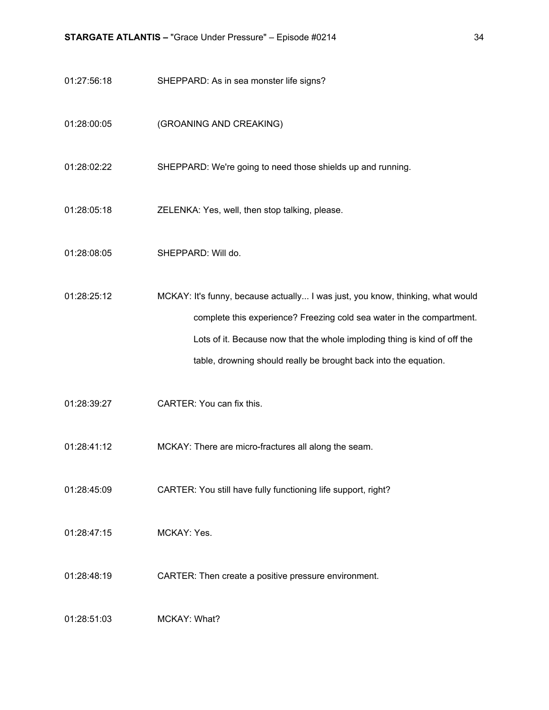- 01:27:56:18 SHEPPARD: As in sea monster life signs?
- 01:28:00:05 (GROANING AND CREAKING)
- 01:28:02:22 SHEPPARD: We're going to need those shields up and running.
- 01:28:05:18 ZELENKA: Yes, well, then stop talking, please.
- 01:28:08:05 SHEPPARD: Will do.
- 01:28:25:12 MCKAY: It's funny, because actually... I was just, you know, thinking, what would complete this experience? Freezing cold sea water in the compartment. Lots of it. Because now that the whole imploding thing is kind of off the table, drowning should really be brought back into the equation.
- 01:28:39:27 CARTER: You can fix this.
- 01:28:41:12 MCKAY: There are micro-fractures all along the seam.
- 01:28:45:09 CARTER: You still have fully functioning life support, right?
- 01:28:47:15 MCKAY: Yes.
- 01:28:48:19 CARTER: Then create a positive pressure environment.
- 01:28:51:03 MCKAY: What?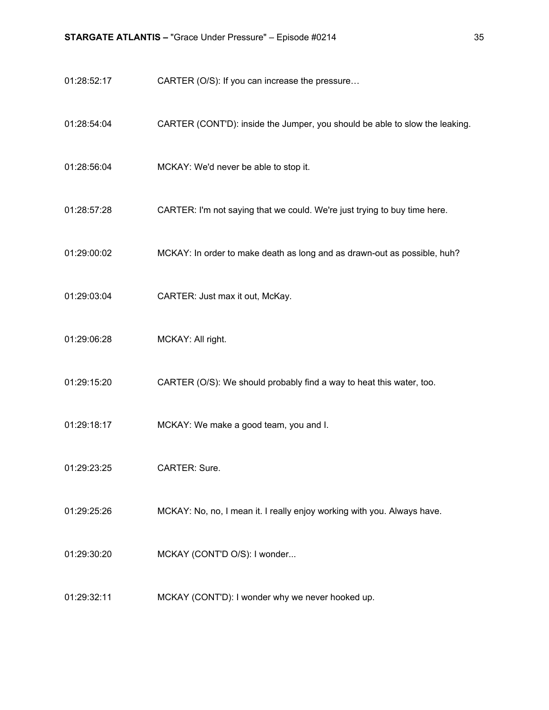- 01:28:52:17 CARTER (O/S): If you can increase the pressure...
- 01:28:54:04 CARTER (CONT'D): inside the Jumper, you should be able to slow the leaking.
- 01:28:56:04 MCKAY: We'd never be able to stop it.
- 01:28:57:28 CARTER: I'm not saying that we could. We're just trying to buy time here.
- 01:29:00:02 MCKAY: In order to make death as long and as drawn-out as possible, huh?
- 01:29:03:04 CARTER: Just max it out, McKay.
- 01:29:06:28 MCKAY: All right.
- 01:29:15:20 CARTER (O/S): We should probably find a way to heat this water, too.
- 01:29:18:17 MCKAY: We make a good team, you and I.
- 01:29:23:25 CARTER: Sure.
- 01:29:25:26 MCKAY: No, no, I mean it. I really enjoy working with you. Always have.
- 01:29:30:20 MCKAY (CONT'D O/S): I wonder...
- 01:29:32:11 MCKAY (CONT'D): I wonder why we never hooked up.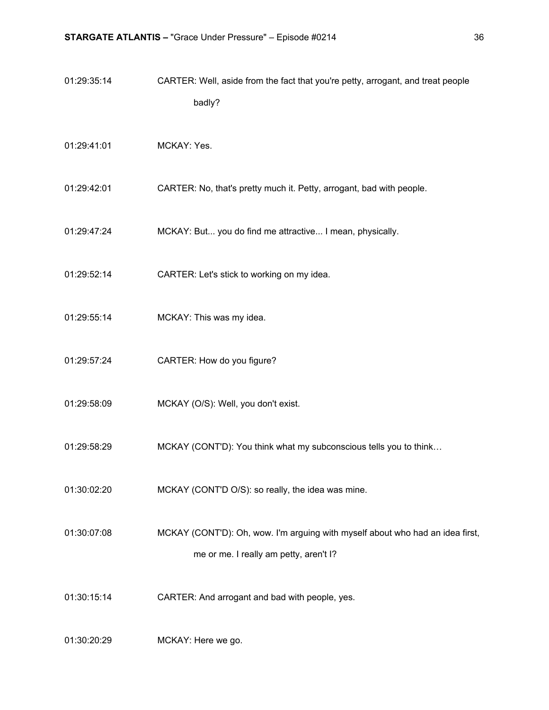| 01:29:35:14 | CARTER: Well, aside from the fact that you're petty, arrogant, and treat people<br>badly?                               |
|-------------|-------------------------------------------------------------------------------------------------------------------------|
| 01:29:41:01 | MCKAY: Yes.                                                                                                             |
| 01:29:42:01 | CARTER: No, that's pretty much it. Petty, arrogant, bad with people.                                                    |
| 01:29:47:24 | MCKAY: But you do find me attractive I mean, physically.                                                                |
| 01:29:52:14 | CARTER: Let's stick to working on my idea.                                                                              |
| 01:29:55:14 | MCKAY: This was my idea.                                                                                                |
| 01:29:57:24 | CARTER: How do you figure?                                                                                              |
| 01:29:58:09 | MCKAY (O/S): Well, you don't exist.                                                                                     |
| 01:29:58:29 | MCKAY (CONT'D): You think what my subconscious tells you to think                                                       |
| 01:30:02:20 | MCKAY (CONT'D O/S): so really, the idea was mine.                                                                       |
| 01:30:07:08 | MCKAY (CONT'D): Oh, wow. I'm arguing with myself about who had an idea first,<br>me or me. I really am petty, aren't I? |
| 01:30:15:14 | CARTER: And arrogant and bad with people, yes.                                                                          |
| 01:30:20:29 | MCKAY: Here we go.                                                                                                      |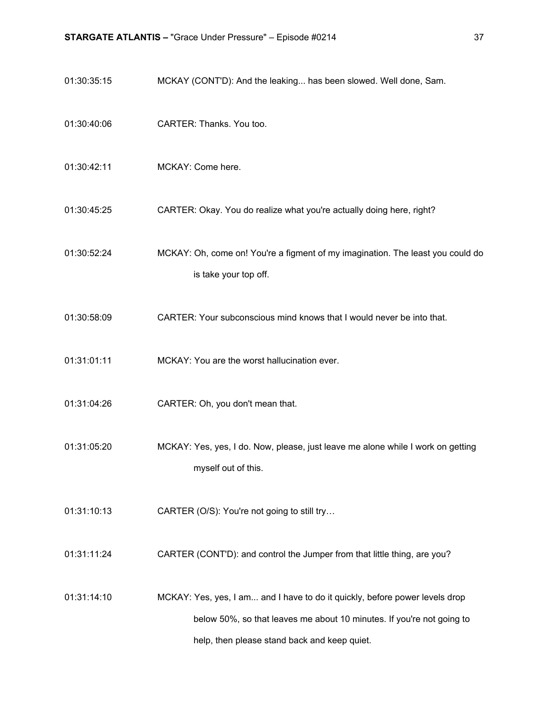- 01:30:35:15 MCKAY (CONT'D): And the leaking... has been slowed. Well done, Sam.
- 01:30:40:06 CARTER: Thanks. You too.
- 01:30:42:11 MCKAY: Come here.
- 01:30:45:25 CARTER: Okay. You do realize what you're actually doing here, right?
- 01:30:52:24 MCKAY: Oh, come on! You're a figment of my imagination. The least you could do is take your top off.
- 01:30:58:09 CARTER: Your subconscious mind knows that I would never be into that.
- 01:31:01:11 MCKAY: You are the worst hallucination ever.
- 01:31:04:26 CARTER: Oh, you don't mean that.
- 01:31:05:20 MCKAY: Yes, yes, I do. Now, please, just leave me alone while I work on getting myself out of this.
- 01:31:10:13 **CARTER (O/S): You're not going to still try...**
- 01:31:11:24 CARTER (CONT'D): and control the Jumper from that little thing, are you?
- 01:31:14:10 MCKAY: Yes, yes, I am... and I have to do it quickly, before power levels drop below 50%, so that leaves me about 10 minutes. If you're not going to help, then please stand back and keep quiet.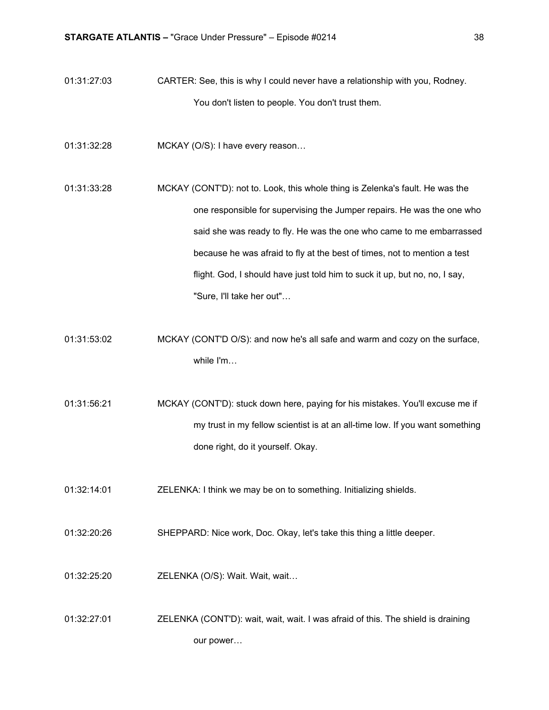- 01:31:27:03 CARTER: See, this is why I could never have a relationship with you, Rodney. You don't listen to people. You don't trust them.
- 01:31:32:28 MCKAY (O/S): I have every reason…

01:31:33:28 MCKAY (CONT'D): not to. Look, this whole thing is Zelenka's fault. He was the one responsible for supervising the Jumper repairs. He was the one who said she was ready to fly. He was the one who came to me embarrassed because he was afraid to fly at the best of times, not to mention a test flight. God, I should have just told him to suck it up, but no, no, I say, "Sure, I'll take her out"…

01:31:53:02 MCKAY (CONT'D O/S): and now he's all safe and warm and cozy on the surface, while I'm…

01:31:56:21 MCKAY (CONT'D): stuck down here, paying for his mistakes. You'll excuse me if my trust in my fellow scientist is at an all-time low. If you want something done right, do it yourself. Okay.

- 01:32:14:01 ZELENKA: I think we may be on to something. Initializing shields.
- 01:32:20:26 SHEPPARD: Nice work, Doc. Okay, let's take this thing a little deeper.
- 01:32:25:20 ZELENKA (O/S): Wait. Wait, wait…
- 01:32:27:01 ZELENKA (CONT'D): wait, wait, wait. I was afraid of this. The shield is draining our power…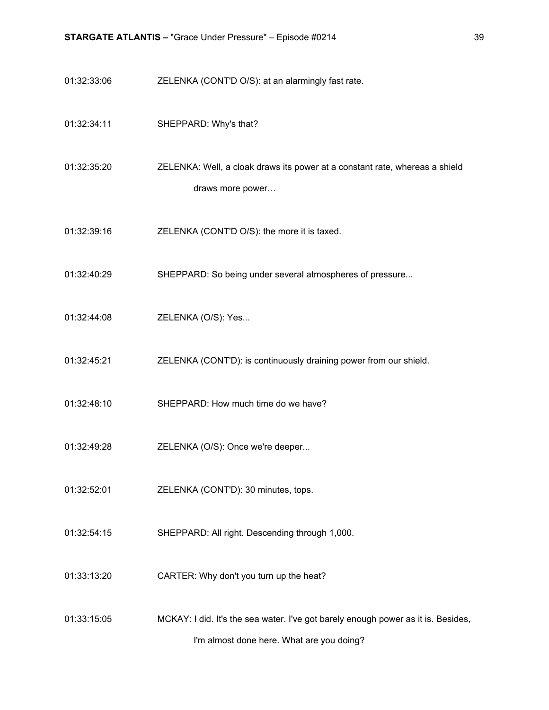- 01:32:33:06 ZELENKA (CONT'D O/S): at an alarmingly fast rate.
- 01:32:34:11 SHEPPARD: Why's that?

01:32:35:20 ZELENKA: Well, a cloak draws its power at a constant rate, whereas a shield draws more power…

- 01:32:39:16 ZELENKA (CONT'D O/S): the more it is taxed.
- 01:32:40:29 SHEPPARD: So being under several atmospheres of pressure...
- 01:32:44:08 ZELENKA (O/S): Yes...
- 01:32:45:21 ZELENKA (CONT'D): is continuously draining power from our shield.
- 01:32:48:10 SHEPPARD: How much time do we have?
- 01:32:49:28 ZELENKA (O/S): Once we're deeper...
- 01:32:52:01 ZELENKA (CONT'D): 30 minutes, tops.
- 01:32:54:15 SHEPPARD: All right. Descending through 1,000.
- 01:33:13:20 CARTER: Why don't you turn up the heat?
- 01:33:15:05 MCKAY: I did. It's the sea water. I've got barely enough power as it is. Besides, I'm almost done here. What are you doing?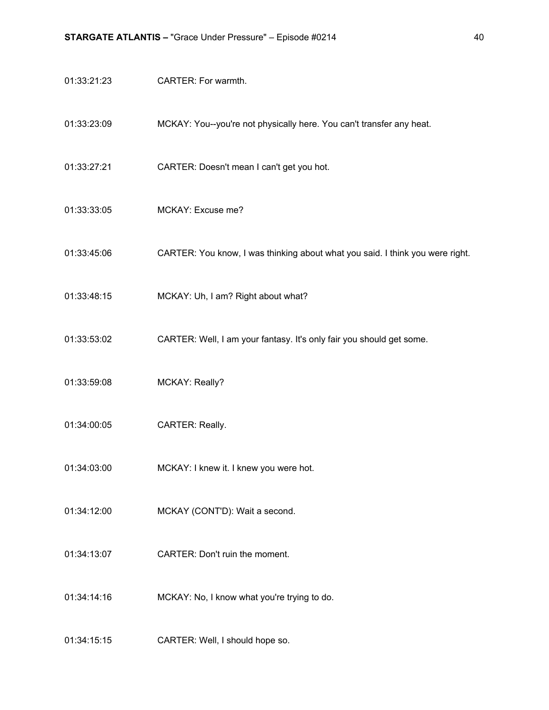- 01:33:21:23 CARTER: For warmth.
- 01:33:23:09 MCKAY: You--you're not physically here. You can't transfer any heat.
- 01:33:27:21 CARTER: Doesn't mean I can't get you hot.
- 01:33:33:05 MCKAY: Excuse me?
- 01:33:45:06 CARTER: You know, I was thinking about what you said. I think you were right.
- 01:33:48:15 MCKAY: Uh, I am? Right about what?
- 01:33:53:02 CARTER: Well, I am your fantasy. It's only fair you should get some.
- 01:33:59:08 MCKAY: Really?
- 01:34:00:05 CARTER: Really.
- 01:34:03:00 MCKAY: I knew it. I knew you were hot.
- 01:34:12:00 MCKAY (CONT'D): Wait a second.
- 01:34:13:07 CARTER: Don't ruin the moment.
- 01:34:14:16 MCKAY: No, I know what you're trying to do.
- 01:34:15:15 CARTER: Well, I should hope so.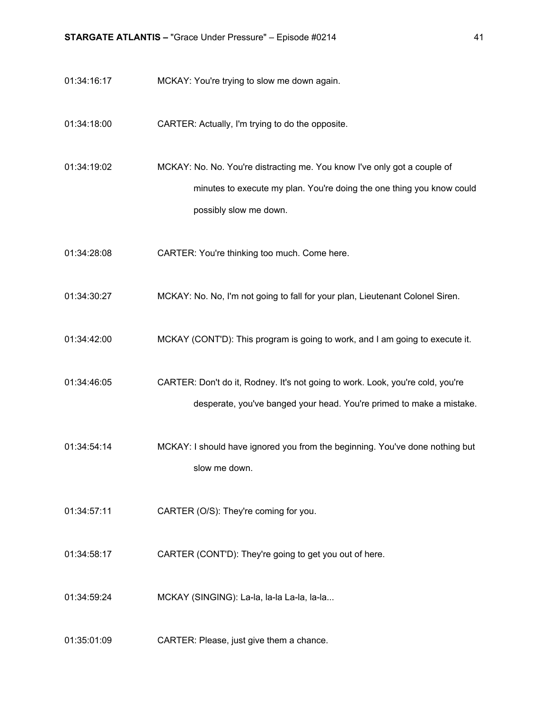- 01:34:16:17 MCKAY: You're trying to slow me down again.
- 01:34:18:00 CARTER: Actually, I'm trying to do the opposite.

01:34:19:02 MCKAY: No. No. You're distracting me. You know I've only got a couple of minutes to execute my plan. You're doing the one thing you know could possibly slow me down.

- 01:34:28:08 CARTER: You're thinking too much. Come here.
- 01:34:30:27 MCKAY: No. No, I'm not going to fall for your plan, Lieutenant Colonel Siren.
- 01:34:42:00 MCKAY (CONT'D): This program is going to work, and I am going to execute it.

01:34:46:05 CARTER: Don't do it, Rodney. It's not going to work. Look, you're cold, you're desperate, you've banged your head. You're primed to make a mistake.

- 01:34:54:14 MCKAY: I should have ignored you from the beginning. You've done nothing but slow me down.
- 01:34:57:11 CARTER (O/S): They're coming for you.
- 01:34:58:17 CARTER (CONT'D): They're going to get you out of here.
- 01:34:59:24 MCKAY (SINGING): La-la, la-la La-la, la-la...
- 01:35:01:09 CARTER: Please, just give them a chance.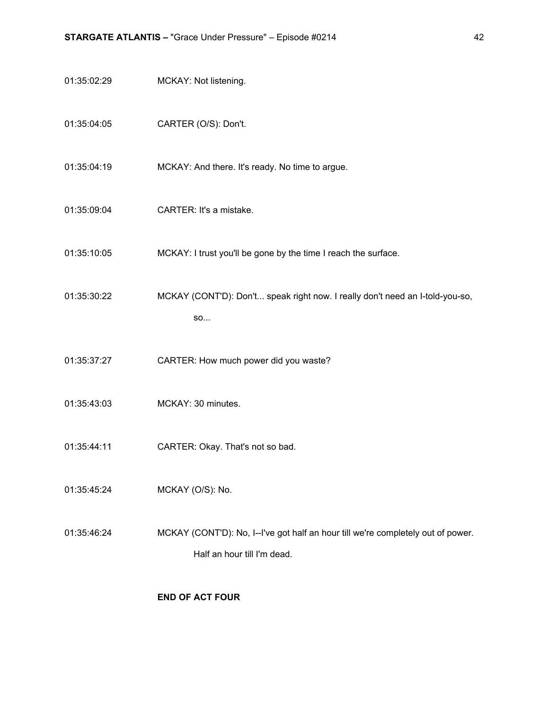- 01:35:02:29 MCKAY: Not listening.
- 01:35:04:05 CARTER (O/S): Don't.
- 01:35:04:19 MCKAY: And there. It's ready. No time to argue.
- 01:35:09:04 CARTER: It's a mistake.
- 01:35:10:05 MCKAY: I trust you'll be gone by the time I reach the surface.
- 01:35:30:22 MCKAY (CONT'D): Don't... speak right now. I really don't need an I-told-you-so, so...
- 01:35:37:27 CARTER: How much power did you waste?
- 01:35:43:03 MCKAY: 30 minutes.
- 01:35:44:11 CARTER: Okay. That's not so bad.
- 01:35:45:24 MCKAY (O/S): No.
- 01:35:46:24 MCKAY (CONT'D): No, I--I've got half an hour till we're completely out of power. Half an hour till I'm dead.

#### **END OF ACT FOUR**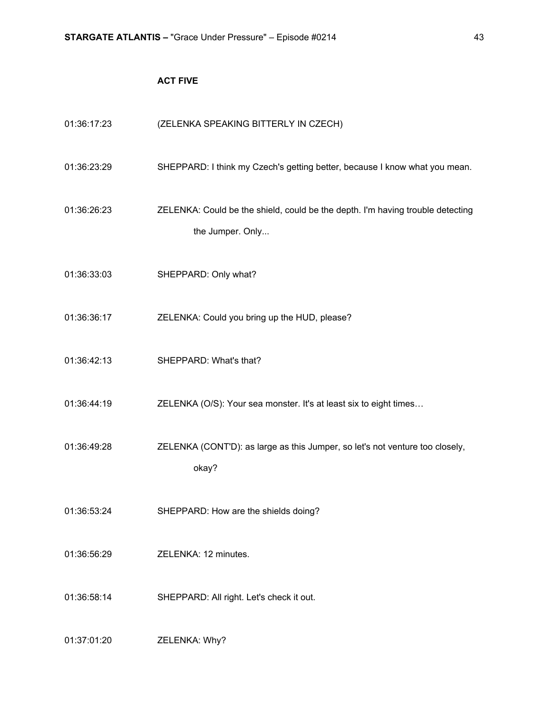### **ACT FIVE**

| 01:36:17:23 | (ZELENKA SPEAKING BITTERLY IN CZECH)                                                               |
|-------------|----------------------------------------------------------------------------------------------------|
| 01:36:23:29 | SHEPPARD: I think my Czech's getting better, because I know what you mean.                         |
| 01:36:26:23 | ZELENKA: Could be the shield, could be the depth. I'm having trouble detecting<br>the Jumper. Only |
| 01:36:33:03 | SHEPPARD: Only what?                                                                               |
| 01:36:36:17 | ZELENKA: Could you bring up the HUD, please?                                                       |
| 01:36:42:13 | SHEPPARD: What's that?                                                                             |
| 01:36:44:19 | ZELENKA (O/S): Your sea monster. It's at least six to eight times                                  |
| 01:36:49:28 | ZELENKA (CONT'D): as large as this Jumper, so let's not venture too closely,<br>okay?              |
| 01:36:53:24 | SHEPPARD: How are the shields doing?                                                               |
| 01:36:56:29 | ZELENKA: 12 minutes.                                                                               |
| 01:36:58:14 | SHEPPARD: All right. Let's check it out.                                                           |
| 01:37:01:20 | ZELENKA: Why?                                                                                      |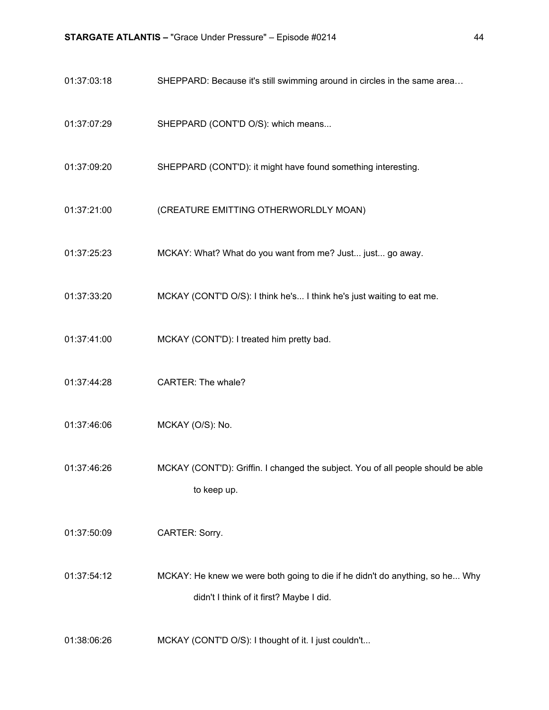- 01:37:03:18 SHEPPARD: Because it's still swimming around in circles in the same area...
- 01:37:07:29 SHEPPARD (CONT'D O/S): which means...
- 01:37:09:20 SHEPPARD (CONT'D): it might have found something interesting.
- 01:37:21:00 (CREATURE EMITTING OTHERWORLDLY MOAN)
- 01:37:25:23 MCKAY: What? What do you want from me? Just... just... go away.
- 01:37:33:20 MCKAY (CONT'D O/S): I think he's... I think he's just waiting to eat me.
- 01:37:41:00 MCKAY (CONT'D): I treated him pretty bad.
- 01:37:44:28 CARTER: The whale?
- 01:37:46:06 MCKAY (O/S): No.
- 01:37:46:26 MCKAY (CONT'D): Griffin. I changed the subject. You of all people should be able to keep up.
- 01:37:50:09 CARTER: Sorry.
- 01:37:54:12 MCKAY: He knew we were both going to die if he didn't do anything, so he... Why didn't I think of it first? Maybe I did.
- 01:38:06:26 MCKAY (CONT'D O/S): I thought of it. I just couldn't...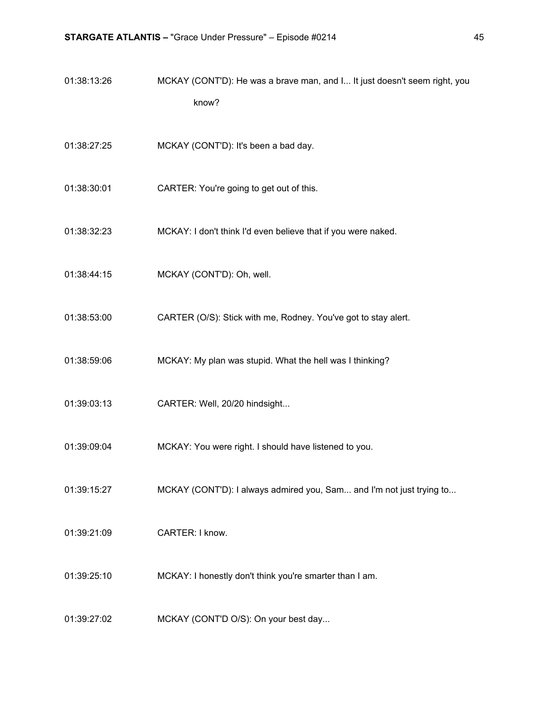| 01:38:13:26 | MCKAY (CONT'D): He was a brave man, and I It just doesn't seem right, you |
|-------------|---------------------------------------------------------------------------|
|             | know?                                                                     |
| 01:38:27:25 | MCKAY (CONT'D): It's been a bad day.                                      |
| 01:38:30:01 | CARTER: You're going to get out of this.                                  |
| 01:38:32:23 | MCKAY: I don't think I'd even believe that if you were naked.             |
| 01:38:44:15 | MCKAY (CONT'D): Oh, well.                                                 |
| 01:38:53:00 | CARTER (O/S): Stick with me, Rodney. You've got to stay alert.            |
| 01:38:59:06 | MCKAY: My plan was stupid. What the hell was I thinking?                  |
| 01:39:03:13 | CARTER: Well, 20/20 hindsight                                             |
| 01:39:09:04 | MCKAY: You were right. I should have listened to you.                     |
| 01:39:15:27 | MCKAY (CONT'D): I always admired you, Sam and I'm not just trying to      |
| 01:39:21:09 | CARTER: I know.                                                           |
| 01:39:25:10 | MCKAY: I honestly don't think you're smarter than I am.                   |
| 01:39:27:02 | MCKAY (CONT'D O/S): On your best day                                      |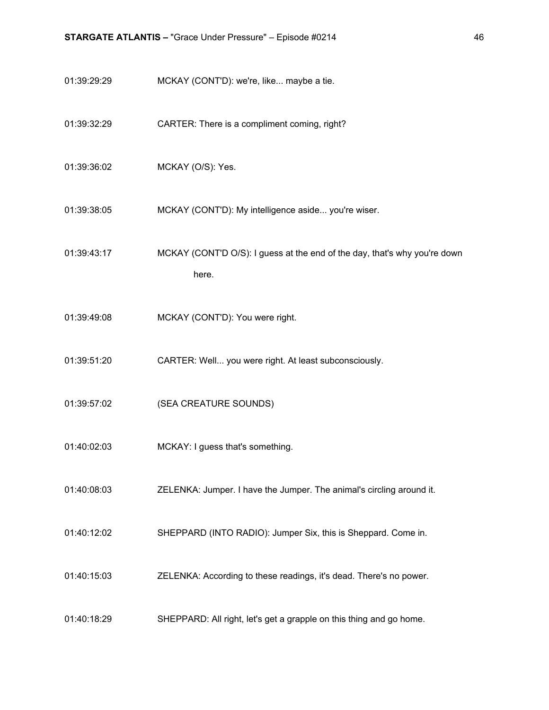- 01:39:29:29 MCKAY (CONT'D): we're, like... maybe a tie.
- 01:39:32:29 CARTER: There is a compliment coming, right?
- 01:39:36:02 MCKAY (O/S): Yes.
- 01:39:38:05 MCKAY (CONT'D): My intelligence aside... you're wiser.
- 01:39:43:17 MCKAY (CONT'D O/S): I guess at the end of the day, that's why you're down here.
- 01:39:49:08 MCKAY (CONT'D): You were right.
- 01:39:51:20 CARTER: Well... you were right. At least subconsciously.
- 01:39:57:02 (SEA CREATURE SOUNDS)
- 01:40:02:03 MCKAY: I guess that's something.
- 01:40:08:03 ZELENKA: Jumper. I have the Jumper. The animal's circling around it.
- 01:40:12:02 SHEPPARD (INTO RADIO): Jumper Six, this is Sheppard. Come in.
- 01:40:15:03 ZELENKA: According to these readings, it's dead. There's no power.
- 01:40:18:29 SHEPPARD: All right, let's get a grapple on this thing and go home.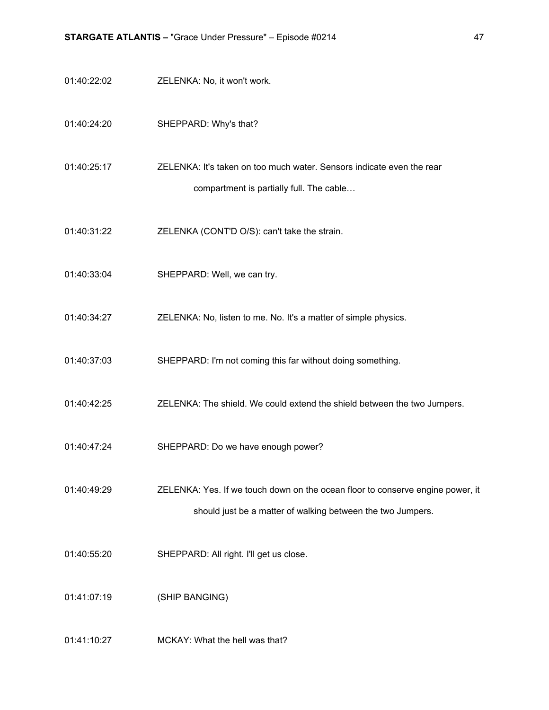- 01:40:22:02 ZELENKA: No, it won't work.
- 01:40:24:20 SHEPPARD: Why's that?
- 01:40:25:17 ZELENKA: It's taken on too much water. Sensors indicate even the rear compartment is partially full. The cable…
- 01:40:31:22 ZELENKA (CONT'D O/S): can't take the strain.
- 01:40:33:04 SHEPPARD: Well, we can try.
- 01:40:34:27 ZELENKA: No, listen to me. No. It's a matter of simple physics.
- 01:40:37:03 SHEPPARD: I'm not coming this far without doing something.
- 01:40:42:25 ZELENKA: The shield. We could extend the shield between the two Jumpers.
- 01:40:47:24 SHEPPARD: Do we have enough power?
- 01:40:49:29 ZELENKA: Yes. If we touch down on the ocean floor to conserve engine power, it should just be a matter of walking between the two Jumpers.
- 01:40:55:20 SHEPPARD: All right. I'll get us close.

01:41:07:19 (SHIP BANGING)

01:41:10:27 MCKAY: What the hell was that?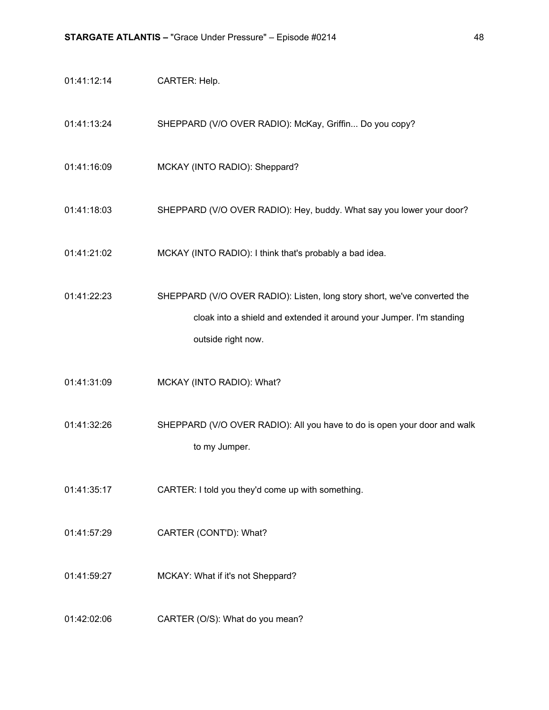| 01:41:12:14 | CARTER: Help.                                                                                                                                                          |
|-------------|------------------------------------------------------------------------------------------------------------------------------------------------------------------------|
| 01:41:13:24 | SHEPPARD (V/O OVER RADIO): McKay, Griffin Do you copy?                                                                                                                 |
| 01:41:16:09 | MCKAY (INTO RADIO): Sheppard?                                                                                                                                          |
| 01:41:18:03 | SHEPPARD (V/O OVER RADIO): Hey, buddy. What say you lower your door?                                                                                                   |
| 01:41:21:02 | MCKAY (INTO RADIO): I think that's probably a bad idea.                                                                                                                |
| 01:41:22:23 | SHEPPARD (V/O OVER RADIO): Listen, long story short, we've converted the<br>cloak into a shield and extended it around your Jumper. I'm standing<br>outside right now. |
| 01:41:31:09 | MCKAY (INTO RADIO): What?                                                                                                                                              |
| 01:41:32:26 | SHEPPARD (V/O OVER RADIO): All you have to do is open your door and walk<br>to my Jumper.                                                                              |
| 01:41:35:17 | CARTER: I told you they'd come up with something.                                                                                                                      |
| 01:41:57:29 | CARTER (CONT'D): What?                                                                                                                                                 |
| 01:41:59:27 | MCKAY: What if it's not Sheppard?                                                                                                                                      |
| 01:42:02:06 | CARTER (O/S): What do you mean?                                                                                                                                        |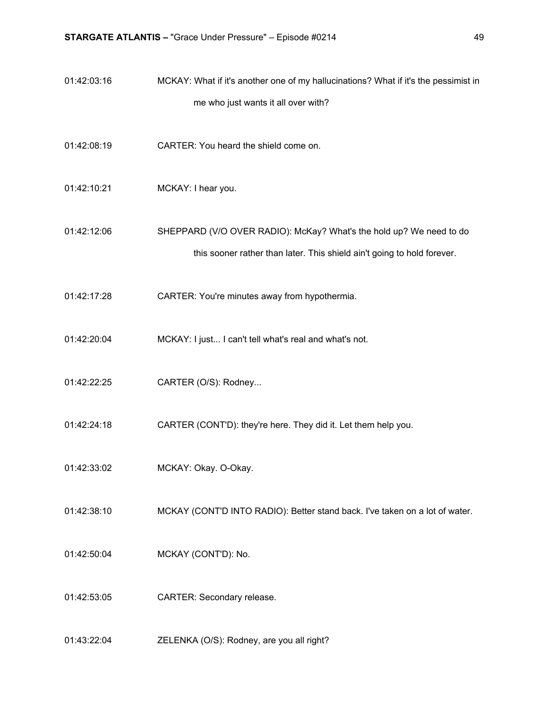- 01:42:03:16 MCKAY: What if it's another one of my hallucinations? What if it's the pessimist in me who just wants it all over with?
- 01:42:08:19 CARTER: You heard the shield come on.
- 01:42:10:21 MCKAY: I hear you.
- 01:42:12:06 SHEPPARD (V/O OVER RADIO): McKay? What's the hold up? We need to do this sooner rather than later. This shield ain't going to hold forever.
- 01:42:17:28 CARTER: You're minutes away from hypothermia.
- 01:42:20:04 MCKAY: I just... I can't tell what's real and what's not.
- 01:42:22:25 CARTER (O/S): Rodney...
- 01:42:24:18 CARTER (CONT'D): they're here. They did it. Let them help you.
- 01:42:33:02 MCKAY: Okay. O-Okay.
- 01:42:38:10 MCKAY (CONT'D INTO RADIO): Better stand back. I've taken on a lot of water.
- 01:42:50:04 MCKAY (CONT'D): No.
- 01:42:53:05 CARTER: Secondary release.
- 01:43:22:04 ZELENKA (O/S): Rodney, are you all right?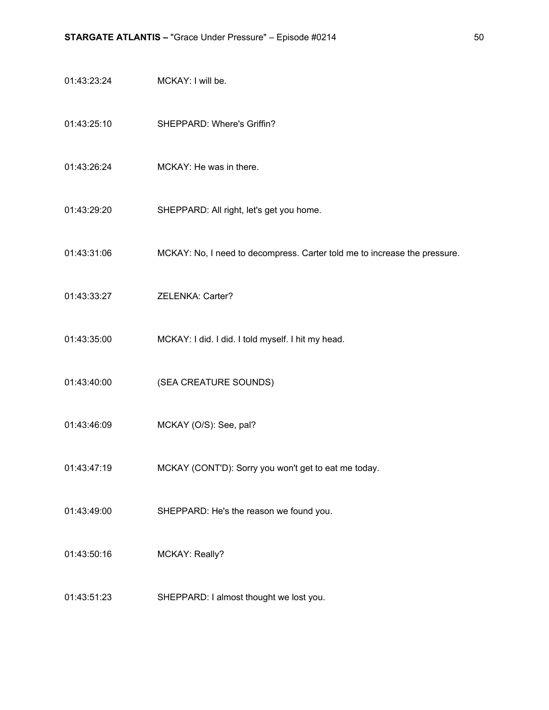- 01:43:23:24 MCKAY: I will be.
- 01:43:25:10 SHEPPARD: Where's Griffin?
- 01:43:26:24 MCKAY: He was in there.
- 01:43:29:20 SHEPPARD: All right, let's get you home.
- 01:43:31:06 MCKAY: No, I need to decompress. Carter told me to increase the pressure.
- 01:43:33:27 ZELENKA: Carter?
- 01:43:35:00 MCKAY: I did. I did. I told myself. I hit my head.
- 01:43:40:00 (SEA CREATURE SOUNDS)
- 01:43:46:09 MCKAY (O/S): See, pal?
- 01:43:47:19 MCKAY (CONT'D): Sorry you won't get to eat me today.
- 01:43:49:00 SHEPPARD: He's the reason we found you.
- 01:43:50:16 MCKAY: Really?
- 01:43:51:23 SHEPPARD: I almost thought we lost you.